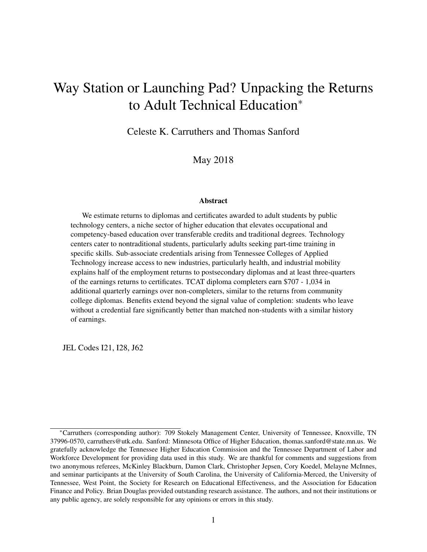# Way Station or Launching Pad? Unpacking the Returns to Adult Technical Education*<sup>∗</sup>*

Celeste K. Carruthers and Thomas Sanford

May 2018

#### Abstract

We estimate returns to diplomas and certificates awarded to adult students by public technology centers, a niche sector of higher education that elevates occupational and competency-based education over transferable credits and traditional degrees. Technology centers cater to nontraditional students, particularly adults seeking part-time training in specific skills. Sub-associate credentials arising from Tennessee Colleges of Applied Technology increase access to new industries, particularly health, and industrial mobility explains half of the employment returns to postsecondary diplomas and at least three-quarters of the earnings returns to certificates. TCAT diploma completers earn \$707 - 1,034 in additional quarterly earnings over non-completers, similar to the returns from community college diplomas. Benefits extend beyond the signal value of completion: students who leave without a credential fare significantly better than matched non-students with a similar history of earnings.

JEL Codes I21, I28, J62

*<sup>∗</sup>*Carruthers (corresponding author): 709 Stokely Management Center, University of Tennessee, Knoxville, TN 37996-0570, carruthers@utk.edu. Sanford: Minnesota Office of Higher Education, thomas.sanford@state.mn.us. We gratefully acknowledge the Tennessee Higher Education Commission and the Tennessee Department of Labor and Workforce Development for providing data used in this study. We are thankful for comments and suggestions from two anonymous referees, McKinley Blackburn, Damon Clark, Christopher Jepsen, Cory Koedel, Melayne McInnes, and seminar participants at the University of South Carolina, the University of California-Merced, the University of Tennessee, West Point, the Society for Research on Educational Effectiveness, and the Association for Education Finance and Policy. Brian Douglas provided outstanding research assistance. The authors, and not their institutions or any public agency, are solely responsible for any opinions or errors in this study.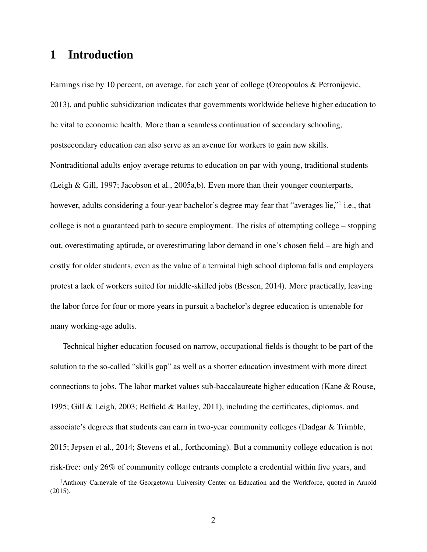# 1 Introduction

Earnings rise by 10 percent, on average, for each year of college [\(Oreopoulos & Petronijevic,](#page-37-0) [2013\)](#page-37-0), and public subsidization indicates that governments worldwide believe higher education to be vital to economic health. More than a seamless continuation of secondary schooling, postsecondary education can also serve as an avenue for workers to gain new skills. Nontraditional adults enjoy average returns to education on par with young, traditional students ([Leigh & Gill,](#page-36-0) [1997;](#page-36-0) [Jacobson et al.](#page-36-0), [2005a,b](#page-36-0)). Even more than their younger counterparts, however, adults considering a four-year bachelor's degree may fear that "averages lie,"<sup>1</sup> i.e., that college is not a guaranteed path to secure employment. The risks of attempting college – stopping out, overestimating aptitude, or overestimating labor demand in one's chosen field – are high and costly for older students, even as the value of a terminal high school diploma falls and employers protest a lack of workers suited for middle-skilled jobs [\(Bessen](#page-34-0), [2014](#page-34-0)). More practically, leaving the labor force for four or more years in pursuit a bachelor's degree education is untenable for many working-age adults.

Technical higher education focused on narrow, occupational fields is thought to be part of the solution to the so-called "skills gap" as well as a shorter education investment with more direct connections to jobs. The labor market values sub-baccalaureate higher education [\(Kane & Rouse](#page-36-0), [1995;](#page-36-0) [Gill & Leigh,](#page-35-0) [2003;](#page-35-0) [Belfield & Bailey](#page-34-0), [2011](#page-34-0)), including the certificates, diplomas, and associate's degrees that students can earn in two-year community colleges ([Dadgar & Trimble](#page-34-0), [2015;](#page-34-0) [Jepsen et al.](#page-36-0), [2014](#page-36-0); [Stevens et al.](#page-37-0), [forthcoming\)](#page-37-0). But a community college education is not risk-free: only 26% of community college entrants complete a credential within five years, and

<sup>&</sup>lt;sup>1</sup> Anthony Carnevale of the Georgetown University Center on Education and the Workforce, quoted in [Arnold](#page-33-0) [\(2015](#page-33-0)).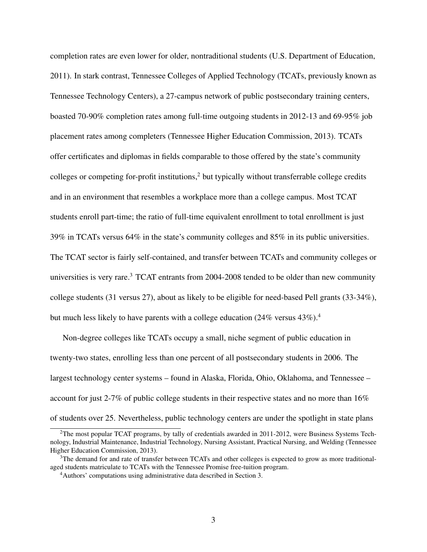completion rates are even lower for older, nontraditional students [\(U.S. Department of Education](#page-38-0), [2011\)](#page-38-0). In stark contrast, Tennessee Colleges of Applied Technology (TCATs, previously known as Tennessee Technology Centers), a 27-campus network of public postsecondary training centers, boasted 70-90% completion rates among full-time outgoing students in 2012-13 and 69-95% job placement rates among completers ([Tennessee Higher Education Commission,](#page-37-0) [2013\)](#page-37-0). TCATs offer certificates and diplomas in fields comparable to those offered by the state's community colleges or competing for-profit institutions,<sup>2</sup> but typically without transferrable college credits and in an environment that resembles a workplace more than a college campus. Most TCAT students enroll part-time; the ratio of full-time equivalent enrollment to total enrollment is just 39% in TCATs versus 64% in the state's community colleges and 85% in its public universities. The TCAT sector is fairly self-contained, and transfer between TCATs and community colleges or universities is very rare.<sup>3</sup> TCAT entrants from  $2004-2008$  tended to be older than new community college students (31 versus 27), about as likely to be eligible for need-based Pell grants (33-34%), but much less likely to have parents with a college education (24% versus 43%).<sup>4</sup>

Non-degree colleges like TCATs occupy a small, niche segment of public education in twenty-two states, enrolling less than one percent of all postsecondary students in 2006. The largest technology center systems – found in Alaska, Florida, Ohio, Oklahoma, and Tennessee – account for just 2-7% of public college students in their respective states and no more than 16% of students over 25. Nevertheless, public technology centers are under the spotlight in state plans

 $2$ The most popular TCAT programs, by tally of credentials awarded in 2011-2012, were Business Systems Technology, Industrial Maintenance, Industrial Technology, Nursing Assistant, Practical Nursing, and Welding [\(Tennessee](#page-37-0) [Higher Education Commission](#page-37-0), [2013](#page-37-0)).

<sup>3</sup>The demand for and rate of transfer between TCATs and other colleges is expected to grow as more traditionalaged students matriculate to TCATs with the Tennessee Promise free-tuition program.

<sup>4</sup>Authors' computations using administrative data described in Section [3.](#page-7-0)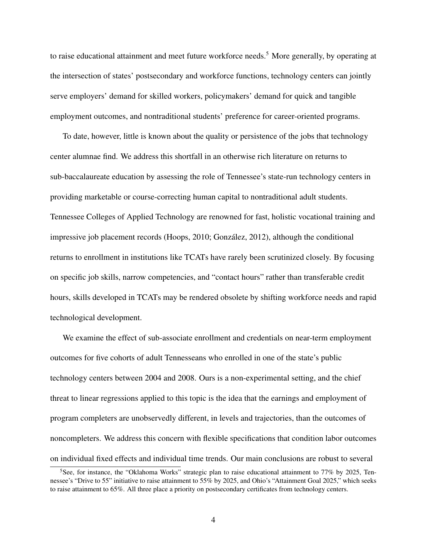to raise educational attainment and meet future workforce needs.<sup>5</sup> More generally, by operating at the intersection of states' postsecondary and workforce functions, technology centers can jointly serve employers' demand for skilled workers, policymakers' demand for quick and tangible employment outcomes, and nontraditional students' preference for career-oriented programs.

To date, however, little is known about the quality or persistence of the jobs that technology center alumnae find. We address this shortfall in an otherwise rich literature on returns to sub-baccalaureate education by assessing the role of Tennessee's state-run technology centers in providing marketable or course-correcting human capital to nontraditional adult students. Tennessee Colleges of Applied Technology are renowned for fast, holistic vocational training and impressive job placement records ([Hoops](#page-35-0), [2010;](#page-35-0) González, [2012](#page-35-0)), although the conditional returns to enrollment in institutions like TCATs have rarely been scrutinized closely. By focusing on specific job skills, narrow competencies, and "contact hours" rather than transferable credit hours, skills developed in TCATs may be rendered obsolete by shifting workforce needs and rapid technological development.

We examine the effect of sub-associate enrollment and credentials on near-term employment outcomes for five cohorts of adult Tennesseans who enrolled in one of the state's public technology centers between 2004 and 2008. Ours is a non-experimental setting, and the chief threat to linear regressions applied to this topic is the idea that the earnings and employment of program completers are unobservedly different, in levels and trajectories, than the outcomes of noncompleters. We address this concern with flexible specifications that condition labor outcomes on individual fixed effects and individual time trends. Our main conclusions are robust to several

<sup>&</sup>lt;sup>5</sup>See, for instance, the "Oklahoma Works" strategic plan to raise educational attainment to 77% by 2025, Tennessee's "Drive to 55" initiative to raise attainment to 55% by 2025, and Ohio's "Attainment Goal 2025," which seeks to raise attainment to 65%. All three place a priority on postsecondary certificates from technology centers.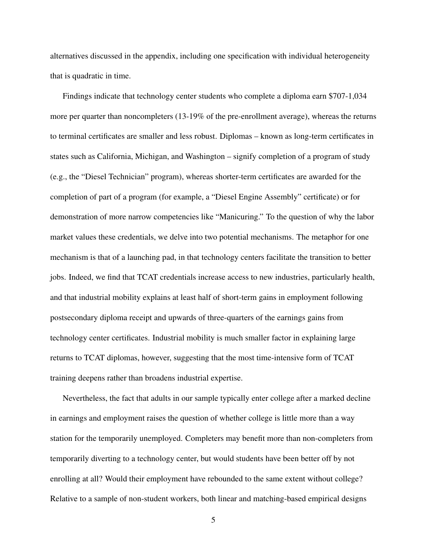alternatives discussed in the appendix, including one specification with individual heterogeneity that is quadratic in time.

Findings indicate that technology center students who complete a diploma earn \$707-1,034 more per quarter than noncompleters (13-19% of the pre-enrollment average), whereas the returns to terminal certificates are smaller and less robust. Diplomas – known as long-term certificates in states such as California, Michigan, and Washington – signify completion of a program of study (e.g., the "Diesel Technician" program), whereas shorter-term certificates are awarded for the completion of part of a program (for example, a "Diesel Engine Assembly" certificate) or for demonstration of more narrow competencies like "Manicuring." To the question of why the labor market values these credentials, we delve into two potential mechanisms. The metaphor for one mechanism is that of a launching pad, in that technology centers facilitate the transition to better jobs. Indeed, we find that TCAT credentials increase access to new industries, particularly health, and that industrial mobility explains at least half of short-term gains in employment following postsecondary diploma receipt and upwards of three-quarters of the earnings gains from technology center certificates. Industrial mobility is much smaller factor in explaining large returns to TCAT diplomas, however, suggesting that the most time-intensive form of TCAT training deepens rather than broadens industrial expertise.

Nevertheless, the fact that adults in our sample typically enter college after a marked decline in earnings and employment raises the question of whether college is little more than a way station for the temporarily unemployed. Completers may benefit more than non-completers from temporarily diverting to a technology center, but would students have been better off by not enrolling at all? Would their employment have rebounded to the same extent without college? Relative to a sample of non-student workers, both linear and matching-based empirical designs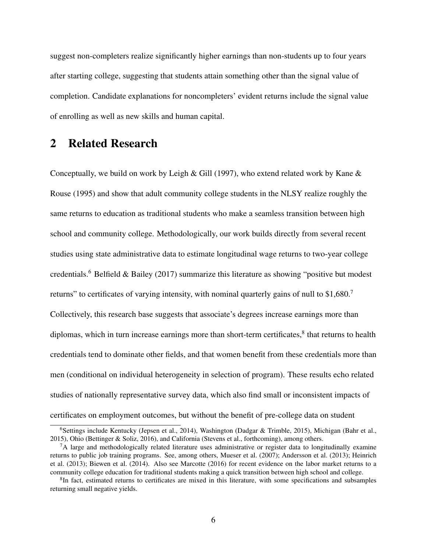suggest non-completers realize significantly higher earnings than non-students up to four years after starting college, suggesting that students attain something other than the signal value of completion. Candidate explanations for noncompleters' evident returns include the signal value of enrolling as well as new skills and human capital.

# 2 Related Research

Conceptually, we build on work by [Leigh & Gill](#page-36-0) [\(1997](#page-36-0)), who extend related work by [Kane &](#page-36-0) [Rouse](#page-36-0) ([1995\)](#page-36-0) and show that adult community college students in the NLSY realize roughly the same returns to education as traditional students who make a seamless transition between high school and community college. Methodologically, our work builds directly from several recent studies using state administrative data to estimate longitudinal wage returns to two-year college credentials.<sup>6</sup> [Belfield & Bailey](#page-33-0) [\(2017](#page-33-0)) summarize this literature as showing "positive but modest returns" to certificates of varying intensity, with nominal quarterly gains of null to \$1,680.<sup>7</sup> Collectively, this research base suggests that associate's degrees increase earnings more than diplomas, which in turn increase earnings more than short-term certificates,<sup>8</sup> that returns to health credentials tend to dominate other fields, and that women benefit from these credentials more than men (conditional on individual heterogeneity in selection of program). These results echo related studies of nationally representative survey data, which also find small or inconsistent impacts of certificates on employment outcomes, but without the benefit of pre-college data on student

<sup>6</sup>Settings include Kentucky [\(Jepsen et al.](#page-36-0), [2014\)](#page-36-0), Washington ([Dadgar & Trimble,](#page-34-0) [2015](#page-34-0)), Michigan ([Bahr et al.,](#page-33-0) [2015\)](#page-33-0), Ohio ([Bettinger & Soliz](#page-34-0), [2016](#page-34-0)), and California ([Stevens et al.,](#page-37-0) [forthcoming](#page-37-0)), among others.

 ${}^{7}A$  large and methodologically related literature uses administrative or register data to longitudinally examine returns to public job training programs. See, among others, [Mueser et al.](#page-37-0) [\(2007](#page-37-0)); [Andersson et al.](#page-33-0) [\(2013](#page-33-0)); [Heinrich](#page-35-0) [et al.](#page-35-0) ([2013\)](#page-35-0); [Biewen et al.](#page-34-0) [\(2014\)](#page-34-0). Also see [Marcotte](#page-37-0) ([2016\)](#page-37-0) for recent evidence on the labor market returns to a community college education for traditional students making a quick transition between high school and college.

<sup>&</sup>lt;sup>8</sup>In fact, estimated returns to certificates are mixed in this literature, with some specifications and subsamples returning small negative yields.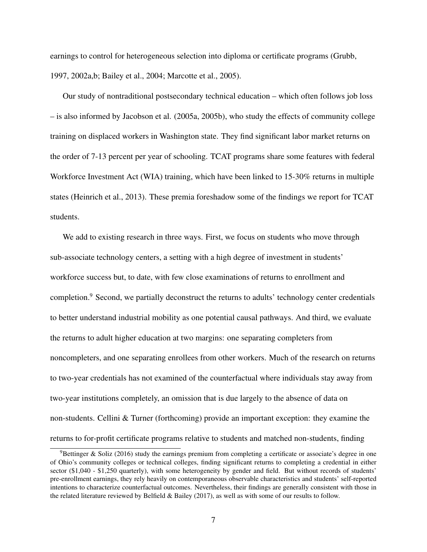earnings to control for heterogeneous selection into diploma or certificate programs [\(Grubb,](#page-35-0) [1997,](#page-35-0) [2002a,b](#page-35-0); [Bailey et al.,](#page-33-0) [2004;](#page-33-0) [Marcotte et al.](#page-37-0), [2005](#page-37-0)).

Our study of nontraditional postsecondary technical education – which often follows job loss – is also informed by Jacobson et al. ([2005a,](#page-36-0) [2005b\)](#page-36-0), who study the effects of community college training on displaced workers in Washington state. They find significant labor market returns on the order of 7-13 percent per year of schooling. TCAT programs share some features with federal Workforce Investment Act (WIA) training, which have been linked to 15-30% returns in multiple states ([Heinrich et al.,](#page-35-0) [2013](#page-35-0)). These premia foreshadow some of the findings we report for TCAT students.

We add to existing research in three ways. First, we focus on students who move through sub-associate technology centers, a setting with a high degree of investment in students' workforce success but, to date, with few close examinations of returns to enrollment and completion.<sup>9</sup> Second, we partially deconstruct the returns to adults' technology center credentials to better understand industrial mobility as one potential causal pathways. And third, we evaluate the returns to adult higher education at two margins: one separating completers from noncompleters, and one separating enrollees from other workers. Much of the research on returns to two-year credentials has not examined of the counterfactual where individuals stay away from two-year institutions completely, an omission that is due largely to the absence of data on non-students. [Cellini & Turner](#page-34-0) ([forthcoming\)](#page-34-0) provide an important exception: they examine the returns to for-profit certificate programs relative to students and matched non-students, finding

<sup>&</sup>lt;sup>9</sup>[Bettinger & Soliz](#page-34-0) [\(2016](#page-34-0)) study the earnings premium from completing a certificate or associate's degree in one of Ohio's community colleges or technical colleges, finding significant returns to completing a credential in either sector (\$1,040 - \$1,250 quarterly), with some heterogeneity by gender and field. But without records of students' pre-enrollment earnings, they rely heavily on contemporaneous observable characteristics and students' self-reported intentions to characterize counterfactual outcomes. Nevertheless, their findings are generally consistent with those in the related literature reviewed by [Belfield & Bailey](#page-33-0) ([2017\)](#page-33-0), as well as with some of our results to follow.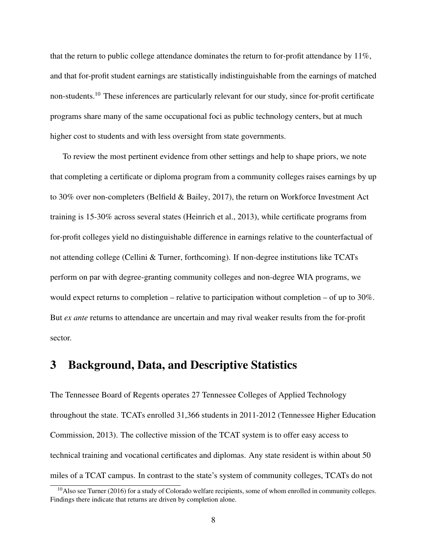<span id="page-7-0"></span>that the return to public college attendance dominates the return to for-profit attendance by  $11\%$ , and that for-profit student earnings are statistically indistinguishable from the earnings of matched non-students.<sup>10</sup> These inferences are particularly relevant for our study, since for-profit certificate programs share many of the same occupational foci as public technology centers, but at much higher cost to students and with less oversight from state governments.

To review the most pertinent evidence from other settings and help to shape priors, we note that completing a certificate or diploma program from a community colleges raises earnings by up to 30% over non-completers [\(Belfield & Bailey,](#page-33-0) [2017](#page-33-0)), the return on Workforce Investment Act training is 15-30% across several states ([Heinrich et al.,](#page-35-0) [2013\)](#page-35-0), while certificate programs from for-profit colleges yield no distinguishable difference in earnings relative to the counterfactual of not attending college [\(Cellini & Turner,](#page-34-0) [forthcoming\)](#page-34-0). If non-degree institutions like TCATs perform on par with degree-granting community colleges and non-degree WIA programs, we would expect returns to completion – relative to participation without completion – of up to 30%. But *ex ante* returns to attendance are uncertain and may rival weaker results from the for-profit sector.

### 3 Background, Data, and Descriptive Statistics

The Tennessee Board of Regents operates 27 Tennessee Colleges of Applied Technology throughout the state. TCATs enrolled 31,366 students in 2011-2012 [\(Tennessee Higher Education](#page-37-0) [Commission](#page-37-0), [2013](#page-37-0)). The collective mission of the TCAT system is to offer easy access to technical training and vocational certificates and diplomas. Any state resident is within about 50 miles of a TCAT campus. In contrast to the state's system of community colleges, TCATs do not

<sup>&</sup>lt;sup>10</sup>Also see [Turner](#page-37-0) ([2016\)](#page-37-0) for a study of Colorado welfare recipients, some of whom enrolled in community colleges. Findings there indicate that returns are driven by completion alone.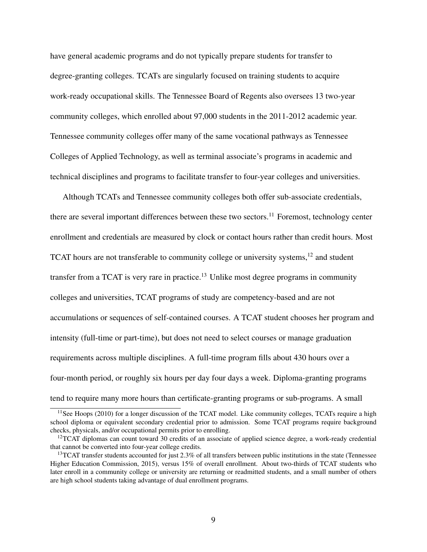have general academic programs and do not typically prepare students for transfer to degree-granting colleges. TCATs are singularly focused on training students to acquire work-ready occupational skills. The Tennessee Board of Regents also oversees 13 two-year community colleges, which enrolled about 97,000 students in the 2011-2012 academic year. Tennessee community colleges offer many of the same vocational pathways as Tennessee Colleges of Applied Technology, as well as terminal associate's programs in academic and technical disciplines and programs to facilitate transfer to four-year colleges and universities.

Although TCATs and Tennessee community colleges both offer sub-associate credentials, there are several important differences between these two sectors.<sup>11</sup> Foremost, technology center enrollment and credentials are measured by clock or contact hours rather than credit hours. Most TCAT hours are not transferable to community college or university systems,<sup>12</sup> and student transfer from a TCAT is very rare in practice.<sup>13</sup> Unlike most degree programs in community colleges and universities, TCAT programs of study are competency-based and are not accumulations or sequences of self-contained courses. A TCAT student chooses her program and intensity (full-time or part-time), but does not need to select courses or manage graduation requirements across multiple disciplines. A full-time program fills about 430 hours over a four-month period, or roughly six hours per day four days a week. Diploma-granting programs tend to require many more hours than certificate-granting programs or sub-programs. A small

 $11$ See [Hoops](#page-35-0) [\(2010](#page-35-0)) for a longer discussion of the TCAT model. Like community colleges, TCATs require a high school diploma or equivalent secondary credential prior to admission. Some TCAT programs require background checks, physicals, and/or occupational permits prior to enrolling.

 $12$ TCAT diplomas can count toward 30 credits of an associate of applied science degree, a work-ready credential that cannot be converted into four-year college credits.

<sup>&</sup>lt;sup>13</sup>TCAT transfer students accounted for just 2.3% of all transfers between public institutions in the state [\(Tennessee](#page-37-0) [Higher Education Commission,](#page-37-0) [2015\)](#page-37-0), versus 15% of overall enrollment. About two-thirds of TCAT students who later enroll in a community college or university are returning or readmitted students, and a small number of others are high school students taking advantage of dual enrollment programs.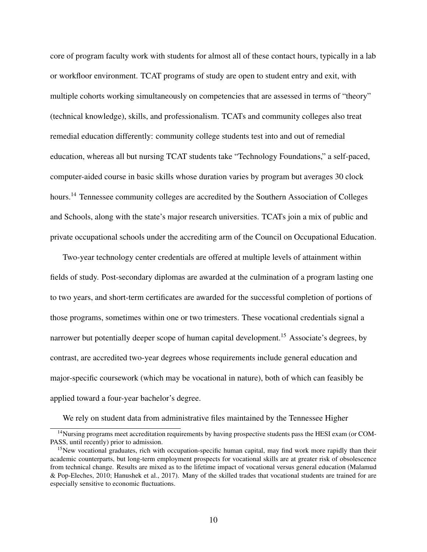core of program faculty work with students for almost all of these contact hours, typically in a lab or workfloor environment. TCAT programs of study are open to student entry and exit, with multiple cohorts working simultaneously on competencies that are assessed in terms of "theory" (technical knowledge), skills, and professionalism. TCATs and community colleges also treat remedial education differently: community college students test into and out of remedial education, whereas all but nursing TCAT students take "Technology Foundations," a self-paced, computer-aided course in basic skills whose duration varies by program but averages 30 clock hours.<sup>14</sup> Tennessee community colleges are accredited by the Southern Association of Colleges and Schools, along with the state's major research universities. TCATs join a mix of public and private occupational schools under the accrediting arm of the Council on Occupational Education.

Two-year technology center credentials are offered at multiple levels of attainment within fields of study. Post-secondary diplomas are awarded at the culmination of a program lasting one to two years, and short-term certificates are awarded for the successful completion of portions of those programs, sometimes within one or two trimesters. These vocational credentials signal a narrower but potentially deeper scope of human capital development.<sup>15</sup> Associate's degrees, by contrast, are accredited two-year degrees whose requirements include general education and major-specific coursework (which may be vocational in nature), both of which can feasibly be applied toward a four-year bachelor's degree.

We rely on student data from administrative files maintained by the Tennessee Higher

<sup>&</sup>lt;sup>14</sup>Nursing programs meet accreditation requirements by having prospective students pass the HESI exam (or COM-PASS, until recently) prior to admission.

<sup>&</sup>lt;sup>15</sup>New vocational graduates, rich with occupation-specific human capital, may find work more rapidly than their academic counterparts, but long-term employment prospects for vocational skills are at greater risk of obsolescence from technical change. Results are mixed as to the lifetime impact of vocational versus general education ([Malamud](#page-37-0) [& Pop-Eleches](#page-37-0), [2010;](#page-37-0) [Hanushek et al.](#page-35-0), [2017](#page-35-0)). Many of the skilled trades that vocational students are trained for are especially sensitive to economic fluctuations.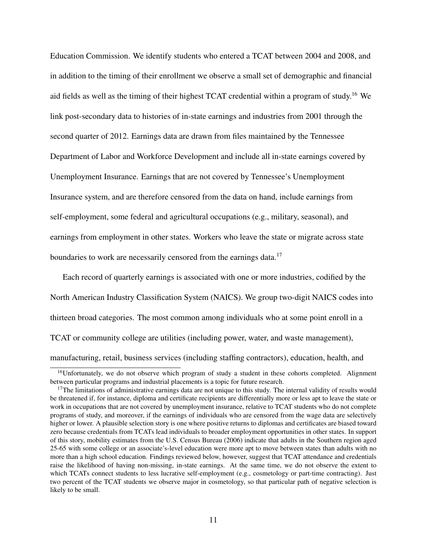Education Commission. We identify students who entered a TCAT between 2004 and 2008, and in addition to the timing of their enrollment we observe a small set of demographic and financial aid fields as well as the timing of their highest TCAT credential within a program of study.<sup>16</sup> We link post-secondary data to histories of in-state earnings and industries from 2001 through the second quarter of 2012. Earnings data are drawn from files maintained by the Tennessee Department of Labor and Workforce Development and include all in-state earnings covered by Unemployment Insurance. Earnings that are not covered by Tennessee's Unemployment Insurance system, and are therefore censored from the data on hand, include earnings from self-employment, some federal and agricultural occupations (e.g., military, seasonal), and earnings from employment in other states. Workers who leave the state or migrate across state boundaries to work are necessarily censored from the earnings data.<sup>17</sup>

Each record of quarterly earnings is associated with one or more industries, codified by the North American Industry Classification System (NAICS). We group two-digit NAICS codes into thirteen broad categories. The most common among individuals who at some point enroll in a TCAT or community college are utilities (including power, water, and waste management),

manufacturing, retail, business services (including staffing contractors), education, health, and

<sup>&</sup>lt;sup>16</sup>Unfortunately, we do not observe which program of study a student in these cohorts completed. Alignment between particular programs and industrial placements is a topic for future research.

 $17$ The limitations of administrative earnings data are not unique to this study. The internal validity of results would be threatened if, for instance, diploma and certificate recipients are differentially more or less apt to leave the state or work in occupations that are not covered by unemployment insurance, relative to TCAT students who do not complete programs of study, and moreover, if the earnings of individuals who are censored from the wage data are selectively higher or lower. A plausible selection story is one where positive returns to diplomas and certificates are biased toward zero because credentials from TCATs lead individuals to broader employment opportunities in other states. In support of this story, mobility estimates from the [U.S. Census Bureau](#page-38-0) ([2006\)](#page-38-0) indicate that adults in the Southern region aged 25-65 with some college or an associate's-level education were more apt to move between states than adults with no more than a high school education. Findings reviewed below, however, suggest that TCAT attendance and credentials raise the likelihood of having non-missing, in-state earnings. At the same time, we do not observe the extent to which TCATs connect students to less lucrative self-employment (e.g., cosmetology or part-time contracting). Just two percent of the TCAT students we observe major in cosmetology, so that particular path of negative selection is likely to be small.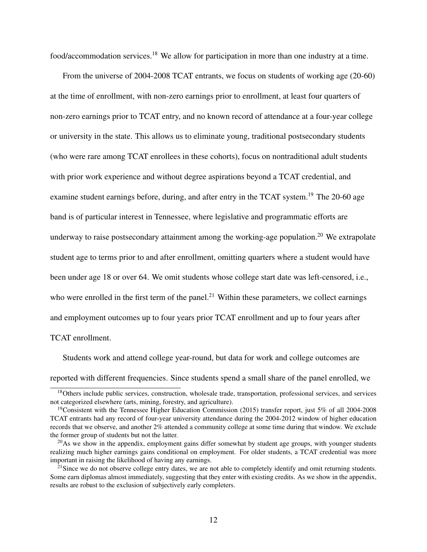food/accommodation services.<sup>18</sup> We allow for participation in more than one industry at a time.

From the universe of 2004-2008 TCAT entrants, we focus on students of working age (20-60) at the time of enrollment, with non-zero earnings prior to enrollment, at least four quarters of non-zero earnings prior to TCAT entry, and no known record of attendance at a four-year college or university in the state. This allows us to eliminate young, traditional postsecondary students (who were rare among TCAT enrollees in these cohorts), focus on nontraditional adult students with prior work experience and without degree aspirations beyond a TCAT credential, and examine student earnings before, during, and after entry in the TCAT system.<sup>19</sup> The 20-60 age band is of particular interest in Tennessee, where legislative and programmatic efforts are underway to raise postsecondary attainment among the working-age population.<sup>20</sup> We extrapolate student age to terms prior to and after enrollment, omitting quarters where a student would have been under age 18 or over 64. We omit students whose college start date was left-censored, i.e., who were enrolled in the first term of the panel.<sup>21</sup> Within these parameters, we collect earnings and employment outcomes up to four years prior TCAT enrollment and up to four years after TCAT enrollment.

Students work and attend college year-round, but data for work and college outcomes are reported with different frequencies. Since students spend a small share of the panel enrolled, we

 $18$ Others include public services, construction, wholesale trade, transportation, professional services, and services not categorized elsewhere (arts, mining, forestry, and agriculture).

<sup>19</sup>Consistent with the [Tennessee Higher Education Commission](#page-37-0) ([2015\)](#page-37-0) transfer report, just 5% of all 2004-2008 TCAT entrants had any record of four-year university attendance during the 2004-2012 window of higher education records that we observe, and another 2% attended a community college at some time during that window. We exclude the former group of students but not the latter.

<sup>&</sup>lt;sup>20</sup>As we show in the appendix, employment gains differ somewhat by student age groups, with younger students realizing much higher earnings gains conditional on employment. For older students, a TCAT credential was more important in raising the likelihood of having any earnings.

 $21$ Since we do not observe college entry dates, we are not able to completely identify and omit returning students. Some earn diplomas almost immediately, suggesting that they enter with existing credits. As we show in the appendix, results are robust to the exclusion of subjectively early completers.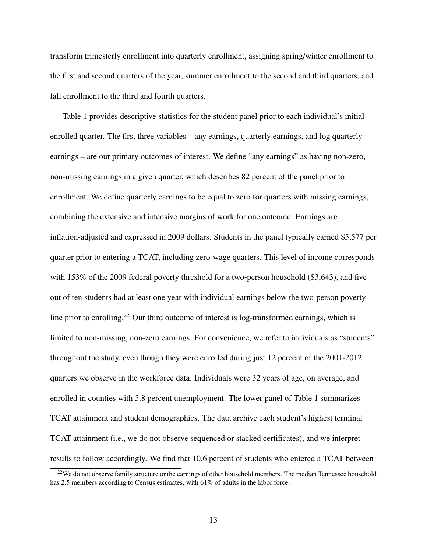transform trimesterly enrollment into quarterly enrollment, assigning spring/winter enrollment to the first and second quarters of the year, summer enrollment to the second and third quarters, and fall enrollment to the third and fourth quarters.

Table [1](#page-39-0) provides descriptive statistics for the student panel prior to each individual's initial enrolled quarter. The first three variables – any earnings, quarterly earnings, and log quarterly earnings – are our primary outcomes of interest. We define "any earnings" as having non-zero, non-missing earnings in a given quarter, which describes 82 percent of the panel prior to enrollment. We define quarterly earnings to be equal to zero for quarters with missing earnings, combining the extensive and intensive margins of work for one outcome. Earnings are inflation-adjusted and expressed in 2009 dollars. Students in the panel typically earned \$5,577 per quarter prior to entering a TCAT, including zero-wage quarters. This level of income corresponds with 153% of the 2009 federal poverty threshold for a two-person household (\$3,643), and five out of ten students had at least one year with individual earnings below the two-person poverty line prior to enrolling.<sup>22</sup> Our third outcome of interest is log-transformed earnings, which is limited to non-missing, non-zero earnings. For convenience, we refer to individuals as "students" throughout the study, even though they were enrolled during just 12 percent of the 2001-2012 quarters we observe in the workforce data. Individuals were 32 years of age, on average, and enrolled in counties with 5.8 percent unemployment. The lower panel of Table [1](#page-39-0) summarizes TCAT attainment and student demographics. The data archive each student's highest terminal TCAT attainment (i.e., we do not observe sequenced or stacked certificates), and we interpret results to follow accordingly. We find that 10.6 percent of students who entered a TCAT between

 $^{22}$ We do not observe family structure or the earnings of other household members. The median Tennessee household has 2.5 members according to Census estimates, with 61% of adults in the labor force.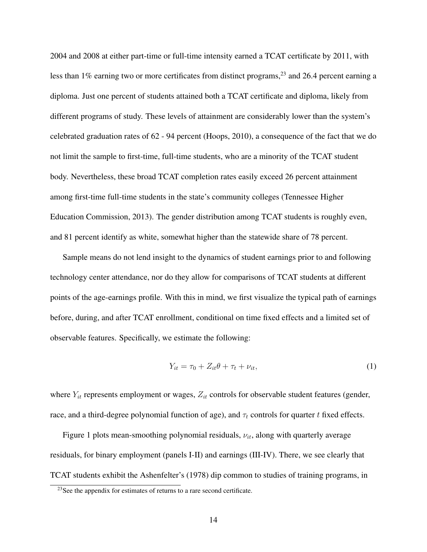<span id="page-13-0"></span>2004 and 2008 at either part-time or full-time intensity earned a TCAT certificate by 2011, with less than 1% earning two or more certificates from distinct programs,  $23$  and 26.4 percent earning a diploma. Just one percent of students attained both a TCAT certificate and diploma, likely from different programs of study. These levels of attainment are considerably lower than the system's celebrated graduation rates of 62 - 94 percent ([Hoops,](#page-35-0) [2010\)](#page-35-0), a consequence of the fact that we do not limit the sample to first-time, full-time students, who are a minority of the TCAT student body. Nevertheless, these broad TCAT completion rates easily exceed 26 percent attainment among first-time full-time students in the state's community colleges ([Tennessee Higher](#page-37-0) [Education Commission,](#page-37-0) [2013\)](#page-37-0). The gender distribution among TCAT students is roughly even, and 81 percent identify as white, somewhat higher than the statewide share of 78 percent.

Sample means do not lend insight to the dynamics of student earnings prior to and following technology center attendance, nor do they allow for comparisons of TCAT students at different points of the age-earnings profile. With this in mind, we first visualize the typical path of earnings before, during, and after TCAT enrollment, conditional on time fixed effects and a limited set of observable features. Specifically, we estimate the following:

$$
Y_{it} = \tau_0 + Z_{it}\theta + \tau_t + \nu_{it},\tag{1}
$$

where  $Y_{it}$  represents employment or wages,  $Z_{it}$  controls for observable student features (gender, race, and a third-degree polynomial function of age), and  $\tau_t$  controls for quarter *t* fixed effects.

Figure [1](#page-40-0) plots mean-smoothing polynomial residuals, *νit*, along with quarterly average residuals, for binary employment (panels I-II) and earnings (III-IV). There, we see clearly that TCAT students exhibit the Ashenfelter's [\(1978](#page-33-0)) dip common to studies of training programs, in

<sup>23</sup>See the appendix for estimates of returns to a rare second certificate.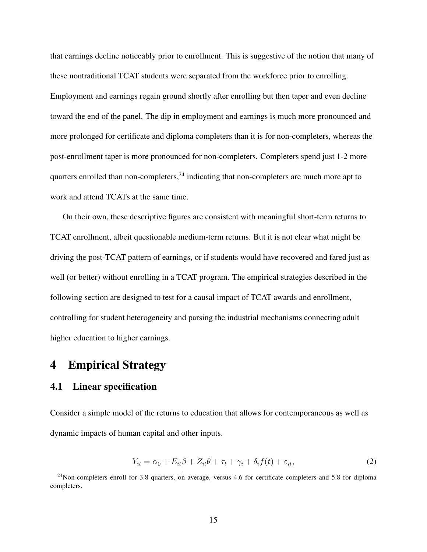<span id="page-14-0"></span>that earnings decline noticeably prior to enrollment. This is suggestive of the notion that many of these nontraditional TCAT students were separated from the workforce prior to enrolling. Employment and earnings regain ground shortly after enrolling but then taper and even decline toward the end of the panel. The dip in employment and earnings is much more pronounced and more prolonged for certificate and diploma completers than it is for non-completers, whereas the post-enrollment taper is more pronounced for non-completers. Completers spend just 1-2 more quarters enrolled than non-completers, $24$  indicating that non-completers are much more apt to work and attend TCATs at the same time.

On their own, these descriptive figures are consistent with meaningful short-term returns to TCAT enrollment, albeit questionable medium-term returns. But it is not clear what might be driving the post-TCAT pattern of earnings, or if students would have recovered and fared just as well (or better) without enrolling in a TCAT program. The empirical strategies described in the following section are designed to test for a causal impact of TCAT awards and enrollment, controlling for student heterogeneity and parsing the industrial mechanisms connecting adult higher education to higher earnings.

## 4 Empirical Strategy

#### 4.1 Linear specification

Consider a simple model of the returns to education that allows for contemporaneous as well as dynamic impacts of human capital and other inputs.

$$
Y_{it} = \alpha_0 + E_{it}\beta + Z_{it}\theta + \tau_t + \gamma_i + \delta_i f(t) + \varepsilon_{it},\tag{2}
$$

<sup>&</sup>lt;sup>24</sup>Non-completers enroll for 3.8 quarters, on average, versus 4.6 for certificate completers and 5.8 for diploma completers.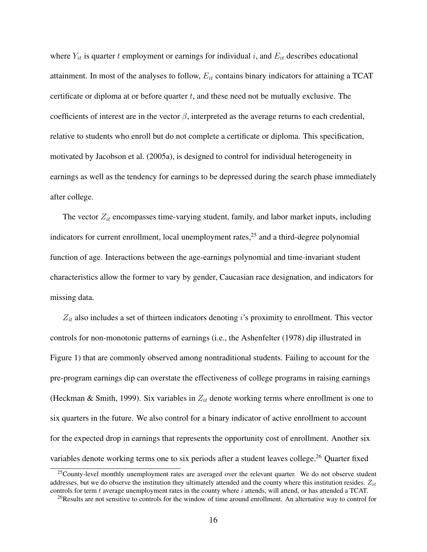where  $Y_{it}$  is quarter *t* employment or earnings for individual *i*, and  $E_{it}$  describes educational attainment. In most of the analyses to follow, *Eit* contains binary indicators for attaining a TCAT certificate or diploma at or before quarter *t*, and these need not be mutually exclusive. The coefficients of interest are in the vector  $\beta$ , interpreted as the average returns to each credential, relative to students who enroll but do not complete a certificate or diploma. This specification, motivated by [Jacobson et al.](#page-36-0) [\(2005a](#page-36-0)), is designed to control for individual heterogeneity in earnings as well as the tendency for earnings to be depressed during the search phase immediately after college.

The vector *Zit* encompasses time-varying student, family, and labor market inputs, including indicators for current enrollment, local unemployment rates,<sup>25</sup> and a third-degree polynomial function of age. Interactions between the age-earnings polynomial and time-invariant student characteristics allow the former to vary by gender, Caucasian race designation, and indicators for missing data.

*Zit* also includes a set of thirteen indicators denoting *i*'s proximity to enrollment. This vector controls for non-monotonic patterns of earnings (i.e., the [Ashenfelter](#page-33-0) ([1978\)](#page-33-0) dip illustrated in Figure [1](#page-40-0)) that are commonly observed among nontraditional students. Failing to account for the pre-program earnings dip can overstate the effectiveness of college programs in raising earnings ([Heckman & Smith,](#page-35-0) [1999\)](#page-35-0). Six variables in *Zit* denote working terms where enrollment is one to six quarters in the future. We also control for a binary indicator of active enrollment to account for the expected drop in earnings that represents the opportunity cost of enrollment. Another six variables denote working terms one to six periods after a student leaves college.<sup>26</sup> Quarter fixed

 $25$ County-level monthly unemployment rates are averaged over the relevant quarter. We do not observe student addresses, but we do observe the institution they ultimately attended and the county where this institution resides. *Zit* controls for term *t* average unemployment rates in the county where *i* attends, will attend, or has attended a TCAT.

<sup>&</sup>lt;sup>26</sup>Results are not sensitive to controls for the window of time around enrollment. An alternative way to control for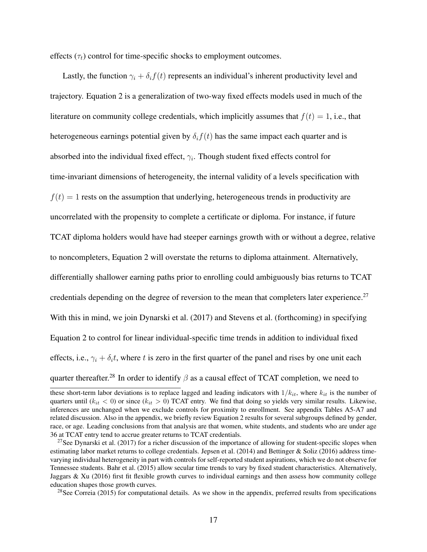effects  $(\tau_t)$  control for time-specific shocks to employment outcomes.

Lastly, the function  $\gamma_i + \delta_i f(t)$  represents an individual's inherent productivity level and trajectory. Equation [2](#page-14-0) is a generalization of two-way fixed effects models used in much of the literature on community college credentials, which implicitly assumes that  $f(t) = 1$ , i.e., that heterogeneous earnings potential given by  $\delta_i f(t)$  has the same impact each quarter and is absorbed into the individual fixed effect, *γ<sup>i</sup>* . Though student fixed effects control for time-invariant dimensions of heterogeneity, the internal validity of a levels specification with  $f(t) = 1$  rests on the assumption that underlying, heterogeneous trends in productivity are uncorrelated with the propensity to complete a certificate or diploma. For instance, if future TCAT diploma holders would have had steeper earnings growth with or without a degree, relative to noncompleters, Equation [2](#page-14-0) will overstate the returns to diploma attainment. Alternatively, differentially shallower earning paths prior to enrolling could ambiguously bias returns to TCAT credentials depending on the degree of reversion to the mean that completers later experience.<sup>27</sup> With this in mind, we join [Dynarski et al.](#page-34-0) [\(2017\)](#page-34-0) and [Stevens et al.](#page-37-0) [\(forthcoming](#page-37-0)) in specifying Equation [2](#page-14-0) to control for linear individual-specific time trends in addition to individual fixed effects, i.e.,  $\gamma_i + \delta_i t$ , where *t* is zero in the first quarter of the panel and rises by one unit each quarter thereafter.<sup>28</sup> In order to identify  $\beta$  as a causal effect of TCAT completion, we need to

these short-term labor deviations is to replace lagged and leading indicators with  $1/k_{it}$ , where  $k_{it}$  is the number of quarters until ( $k_{it}$  < 0) or since ( $k_{it}$  > 0) TCAT entry. We find that doing so yields very similar results. Likewise, inferences are unchanged when we exclude controls for proximity to enrollment. See appendix Tables A5-A7 and related discussion. Also in the appendix, we briefly review Equation [2](#page-14-0) results for several subgroups defined by gender, race, or age. Leading conclusions from that analysis are that women, white students, and students who are under age 36 at TCAT entry tend to accrue greater returns to TCAT credentials.

<sup>&</sup>lt;sup>27</sup>See [Dynarski et al.](#page-34-0) ([2017\)](#page-34-0) for a richer discussion of the importance of allowing for student-specific slopes when estimating labor market returns to college credentials. [Jepsen et al.](#page-36-0) ([2014\)](#page-36-0) and [Bettinger & Soliz](#page-34-0) [\(2016\)](#page-34-0) address timevarying individual heterogeneity in part with controls for self-reported student aspirations, which we do not observe for Tennessee students. [Bahr et al.](#page-33-0) [\(2015](#page-33-0)) allow secular time trends to vary by fixed student characteristics. Alternatively, [Jaggars & Xu](#page-36-0) ([2016\)](#page-36-0) first fit flexible growth curves to individual earnings and then assess how community college education shapes those growth curves.

<sup>&</sup>lt;sup>28</sup>See [Correia](#page-34-0) [\(2015](#page-34-0)) for computational details. As we show in the appendix, preferred results from specifications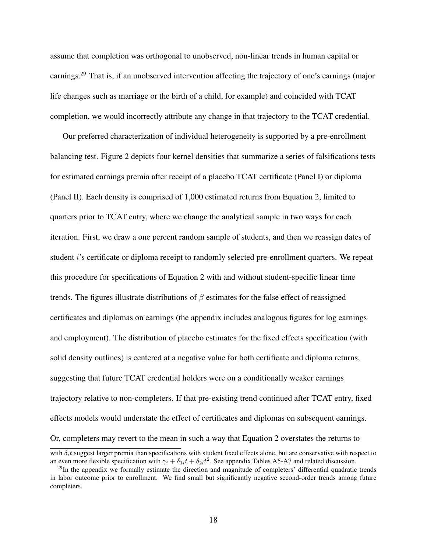assume that completion was orthogonal to unobserved, non-linear trends in human capital or earnings.<sup>29</sup> That is, if an unobserved intervention affecting the trajectory of one's earnings (major life changes such as marriage or the birth of a child, for example) and coincided with TCAT completion, we would incorrectly attribute any change in that trajectory to the TCAT credential.

Our preferred characterization of individual heterogeneity is supported by a pre-enrollment balancing test. Figure [2](#page-41-0) depicts four kernel densities that summarize a series of falsifications tests for estimated earnings premia after receipt of a placebo TCAT certificate (Panel I) or diploma (Panel II). Each density is comprised of 1,000 estimated returns from Equation [2,](#page-14-0) limited to quarters prior to TCAT entry, where we change the analytical sample in two ways for each iteration. First, we draw a one percent random sample of students, and then we reassign dates of student *i*'s certificate or diploma receipt to randomly selected pre-enrollment quarters. We repeat this procedure for specifications of Equation [2](#page-14-0) with and without student-specific linear time trends. The figures illustrate distributions of *β* estimates for the false effect of reassigned certificates and diplomas on earnings (the appendix includes analogous figures for log earnings and employment). The distribution of placebo estimates for the fixed effects specification (with solid density outlines) is centered at a negative value for both certificate and diploma returns, suggesting that future TCAT credential holders were on a conditionally weaker earnings trajectory relative to non-completers. If that pre-existing trend continued after TCAT entry, fixed effects models would understate the effect of certificates and diplomas on subsequent earnings. Or, completers may revert to the mean in such a way that Equation [2](#page-14-0) overstates the returns to

with  $\delta_i t$  suggest larger premia than specifications with student fixed effects alone, but are conservative with respect to an even more flexible specification with  $\gamma_i + \delta_{1i}t + \delta_{2i}t^2$ . See appendix Tables A5-A7 and related discussion.

<sup>&</sup>lt;sup>29</sup>In the appendix we formally estimate the direction and magnitude of completers' differential quadratic trends in labor outcome prior to enrollment. We find small but significantly negative second-order trends among future completers.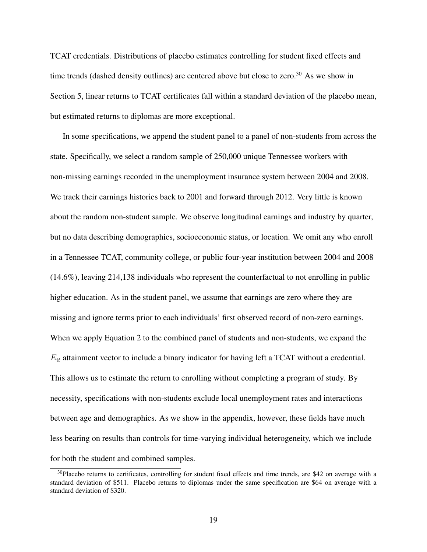TCAT credentials. Distributions of placebo estimates controlling for student fixed effects and time trends (dashed density outlines) are centered above but close to zero.<sup>30</sup> As we show in Section [5,](#page-23-0) linear returns to TCAT certificates fall within a standard deviation of the placebo mean, but estimated returns to diplomas are more exceptional.

In some specifications, we append the student panel to a panel of non-students from across the state. Specifically, we select a random sample of 250,000 unique Tennessee workers with non-missing earnings recorded in the unemployment insurance system between 2004 and 2008. We track their earnings histories back to 2001 and forward through 2012. Very little is known about the random non-student sample. We observe longitudinal earnings and industry by quarter, but no data describing demographics, socioeconomic status, or location. We omit any who enroll in a Tennessee TCAT, community college, or public four-year institution between 2004 and 2008 (14.6%), leaving 214,138 individuals who represent the counterfactual to not enrolling in public higher education. As in the student panel, we assume that earnings are zero where they are missing and ignore terms prior to each individuals' first observed record of non-zero earnings. When we apply Equation [2](#page-14-0) to the combined panel of students and non-students, we expand the *E<sub>it</sub>* attainment vector to include a binary indicator for having left a TCAT without a credential. This allows us to estimate the return to enrolling without completing a program of study. By necessity, specifications with non-students exclude local unemployment rates and interactions between age and demographics. As we show in the appendix, however, these fields have much less bearing on results than controls for time-varying individual heterogeneity, which we include for both the student and combined samples.

<sup>&</sup>lt;sup>30</sup>Placebo returns to certificates, controlling for student fixed effects and time trends, are \$42 on average with a standard deviation of \$511. Placebo returns to diplomas under the same specification are \$64 on average with a standard deviation of \$320.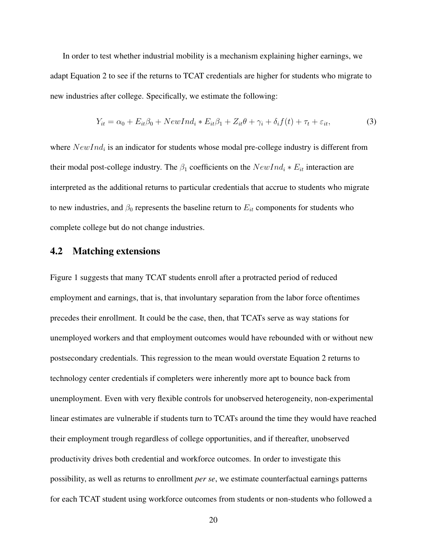<span id="page-19-0"></span>In order to test whether industrial mobility is a mechanism explaining higher earnings, we adapt Equation [2](#page-14-0) to see if the returns to TCAT credentials are higher for students who migrate to new industries after college. Specifically, we estimate the following:

$$
Y_{it} = \alpha_0 + E_{it}\beta_0 + NewInd_i * E_{it}\beta_1 + Z_{it}\theta + \gamma_i + \delta_i f(t) + \tau_t + \varepsilon_{it},\tag{3}
$$

where  $NewInd_i$  is an indicator for students whose modal pre-college industry is different from their modal post-college industry. The *β*<sup>1</sup> coefficients on the *NewInd<sup>i</sup> ∗ Eit* interaction are interpreted as the additional returns to particular credentials that accrue to students who migrate to new industries, and  $\beta_0$  represents the baseline return to  $E_{it}$  components for students who complete college but do not change industries.

#### 4.2 Matching extensions

Figure [1](#page-40-0) suggests that many TCAT students enroll after a protracted period of reduced employment and earnings, that is, that involuntary separation from the labor force oftentimes precedes their enrollment. It could be the case, then, that TCATs serve as way stations for unemployed workers and that employment outcomes would have rebounded with or without new postsecondary credentials. This regression to the mean would overstate Equation [2](#page-14-0) returns to technology center credentials if completers were inherently more apt to bounce back from unemployment. Even with very flexible controls for unobserved heterogeneity, non-experimental linear estimates are vulnerable if students turn to TCATs around the time they would have reached their employment trough regardless of college opportunities, and if thereafter, unobserved productivity drives both credential and workforce outcomes. In order to investigate this possibility, as well as returns to enrollment *per se*, we estimate counterfactual earnings patterns for each TCAT student using workforce outcomes from students or non-students who followed a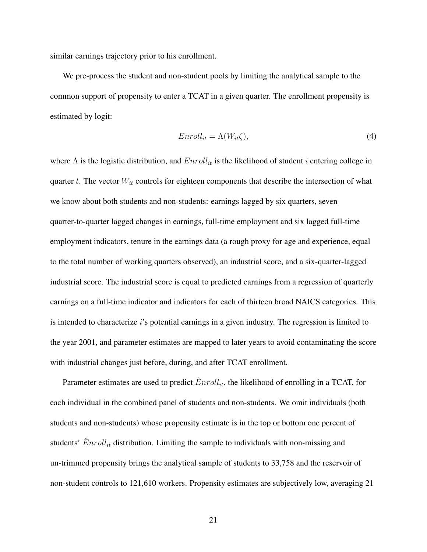similar earnings trajectory prior to his enrollment.

We pre-process the student and non-student pools by limiting the analytical sample to the common support of propensity to enter a TCAT in a given quarter. The enrollment propensity is estimated by logit:

$$
Enroll_{it} = \Lambda(W_{it}\zeta),\tag{4}
$$

where Λ is the logistic distribution, and *Enrollit* is the likelihood of student *i* entering college in quarter *t*. The vector *Wit* controls for eighteen components that describe the intersection of what we know about both students and non-students: earnings lagged by six quarters, seven quarter-to-quarter lagged changes in earnings, full-time employment and six lagged full-time employment indicators, tenure in the earnings data (a rough proxy for age and experience, equal to the total number of working quarters observed), an industrial score, and a six-quarter-lagged industrial score. The industrial score is equal to predicted earnings from a regression of quarterly earnings on a full-time indicator and indicators for each of thirteen broad NAICS categories. This is intended to characterize *i*'s potential earnings in a given industry. The regression is limited to the year 2001, and parameter estimates are mapped to later years to avoid contaminating the score with industrial changes just before, during, and after TCAT enrollment.

Parameter estimates are used to predict  $\hat{E} nroll_{it}$ , the likelihood of enrolling in a TCAT, for each individual in the combined panel of students and non-students. We omit individuals (both students and non-students) whose propensity estimate is in the top or bottom one percent of students'  $\hat{E}nroll_{it}$  distribution. Limiting the sample to individuals with non-missing and un-trimmed propensity brings the analytical sample of students to 33,758 and the reservoir of non-student controls to 121,610 workers. Propensity estimates are subjectively low, averaging 21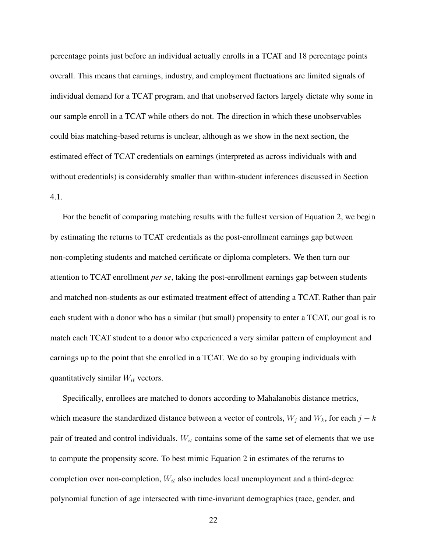percentage points just before an individual actually enrolls in a TCAT and 18 percentage points overall. This means that earnings, industry, and employment fluctuations are limited signals of individual demand for a TCAT program, and that unobserved factors largely dictate why some in our sample enroll in a TCAT while others do not. The direction in which these unobservables could bias matching-based returns is unclear, although as we show in the next section, the estimated effect of TCAT credentials on earnings (interpreted as across individuals with and without credentials) is considerably smaller than within-student inferences discussed in Section [4.1.](#page-14-0)

For the benefit of comparing matching results with the fullest version of Equation [2](#page-14-0), we begin by estimating the returns to TCAT credentials as the post-enrollment earnings gap between non-completing students and matched certificate or diploma completers. We then turn our attention to TCAT enrollment *per se*, taking the post-enrollment earnings gap between students and matched non-students as our estimated treatment effect of attending a TCAT. Rather than pair each student with a donor who has a similar (but small) propensity to enter a TCAT, our goal is to match each TCAT student to a donor who experienced a very similar pattern of employment and earnings up to the point that she enrolled in a TCAT. We do so by grouping individuals with quantitatively similar *Wit* vectors.

Specifically, enrollees are matched to donors according to Mahalanobis distance metrics, which measure the standardized distance between a vector of controls,  $W_j$  and  $W_k$ , for each  $j - k$ pair of treated and control individuals. *Wit* contains some of the same set of elements that we use to compute the propensity score. To best mimic Equation [2](#page-14-0) in estimates of the returns to completion over non-completion, *Wit* also includes local unemployment and a third-degree polynomial function of age intersected with time-invariant demographics (race, gender, and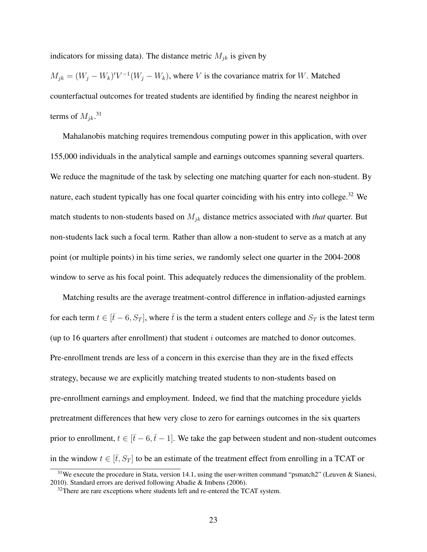indicators for missing data). The distance metric  $M_{ik}$  is given by

 $M_{jk} = (W_j - W_k)'V^{-1}(W_j - W_k)$ , where *V* is the covariance matrix for *W*. Matched counterfactual outcomes for treated students are identified by finding the nearest neighbor in terms of  $M_{jk}$ .<sup>31</sup>

Mahalanobis matching requires tremendous computing power in this application, with over 155,000 individuals in the analytical sample and earnings outcomes spanning several quarters. We reduce the magnitude of the task by selecting one matching quarter for each non-student. By nature, each student typically has one focal quarter coinciding with his entry into college.<sup>32</sup> We match students to non-students based on *Mjk* distance metrics associated with *that* quarter. But non-students lack such a focal term. Rather than allow a non-student to serve as a match at any point (or multiple points) in his time series, we randomly select one quarter in the 2004-2008 window to serve as his focal point. This adequately reduces the dimensionality of the problem.

Matching results are the average treatment-control difference in inflation-adjusted earnings for each term  $t \in [\bar{t} - 6, S_T]$ , where  $\bar{t}$  is the term a student enters college and  $S_T$  is the latest term (up to 16 quarters after enrollment) that student *i* outcomes are matched to donor outcomes. Pre-enrollment trends are less of a concern in this exercise than they are in the fixed effects strategy, because we are explicitly matching treated students to non-students based on pre-enrollment earnings and employment. Indeed, we find that the matching procedure yields pretreatment differences that hew very close to zero for earnings outcomes in the six quarters prior to enrollment,  $t \in [\bar{t} - 6, \bar{t} - 1]$ . We take the gap between student and non-student outcomes in the window  $t \in [\bar{t}, S_T]$  to be an estimate of the treatment effect from enrolling in a TCAT or

<sup>&</sup>lt;sup>31</sup>We execute the procedure in Stata, version 14.1, using the user-written command "psmatch2" ([Leuven & Sianesi,](#page-36-0) [2010\)](#page-36-0). Standard errors are derived following [Abadie & Imbens](#page-33-0) ([2006\)](#page-33-0).

 $32$ There are rare exceptions where students left and re-entered the TCAT system.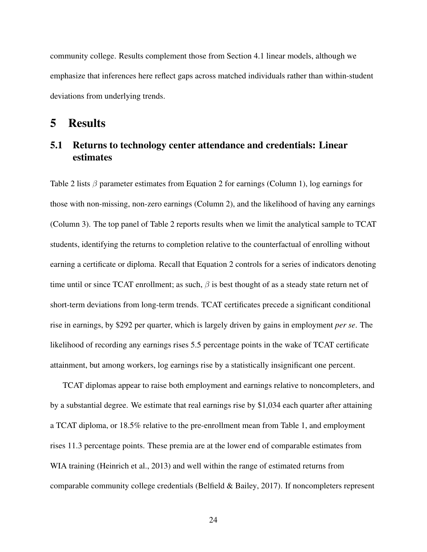<span id="page-23-0"></span>community college. Results complement those from Section [4.1](#page-14-0) linear models, although we emphasize that inferences here reflect gaps across matched individuals rather than within-student deviations from underlying trends.

### 5 Results

### 5.1 Returns to technology center attendance and credentials: Linear estimates

Table [2](#page-42-0) lists *β* parameter estimates from Equation [2](#page-14-0) for earnings (Column 1), log earnings for those with non-missing, non-zero earnings (Column 2), and the likelihood of having any earnings (Column 3). The top panel of Table [2](#page-42-0) reports results when we limit the analytical sample to TCAT students, identifying the returns to completion relative to the counterfactual of enrolling without earning a certificate or diploma. Recall that Equation 2 controls for a series of indicators denoting time until or since TCAT enrollment; as such, *β* is best thought of as a steady state return net of short-term deviations from long-term trends. TCAT certificates precede a significant conditional rise in earnings, by \$292 per quarter, which is largely driven by gains in employment *per se*. The likelihood of recording any earnings rises 5.5 percentage points in the wake of TCAT certificate attainment, but among workers, log earnings rise by a statistically insignificant one percent.

TCAT diplomas appear to raise both employment and earnings relative to noncompleters, and by a substantial degree. We estimate that real earnings rise by \$1,034 each quarter after attaining a TCAT diploma, or 18.5% relative to the pre-enrollment mean from Table [1,](#page-39-0) and employment rises 11.3 percentage points. These premia are at the lower end of comparable estimates from WIA training [\(Heinrich et al.](#page-35-0), [2013](#page-35-0)) and well within the range of estimated returns from comparable community college credentials [\(Belfield & Bailey](#page-33-0), [2017](#page-33-0)). If noncompleters represent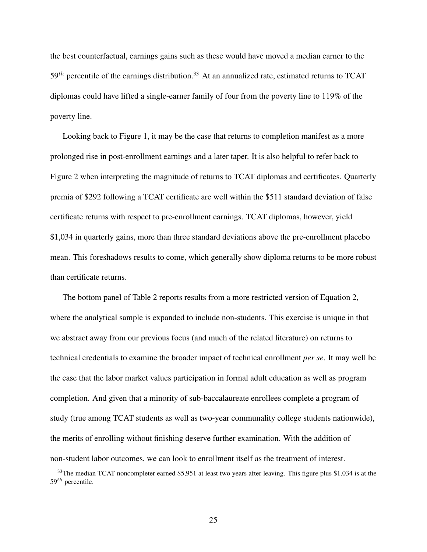the best counterfactual, earnings gains such as these would have moved a median earner to the 59<sup>th</sup> percentile of the earnings distribution.<sup>33</sup> At an annualized rate, estimated returns to TCAT diplomas could have lifted a single-earner family of four from the poverty line to 119% of the poverty line.

Looking back to Figure [1](#page-40-0), it may be the case that returns to completion manifest as a more prolonged rise in post-enrollment earnings and a later taper. It is also helpful to refer back to Figure [2](#page-41-0) when interpreting the magnitude of returns to TCAT diplomas and certificates. Quarterly premia of \$292 following a TCAT certificate are well within the \$511 standard deviation of false certificate returns with respect to pre-enrollment earnings. TCAT diplomas, however, yield \$1,034 in quarterly gains, more than three standard deviations above the pre-enrollment placebo mean. This foreshadows results to come, which generally show diploma returns to be more robust than certificate returns.

The bottom panel of Table [2](#page-42-0) reports results from a more restricted version of Equation [2](#page-14-0), where the analytical sample is expanded to include non-students. This exercise is unique in that we abstract away from our previous focus (and much of the related literature) on returns to technical credentials to examine the broader impact of technical enrollment *per se*. It may well be the case that the labor market values participation in formal adult education as well as program completion. And given that a minority of sub-baccalaureate enrollees complete a program of study (true among TCAT students as well as two-year communality college students nationwide), the merits of enrolling without finishing deserve further examination. With the addition of non-student labor outcomes, we can look to enrollment itself as the treatment of interest.

<sup>&</sup>lt;sup>33</sup>The median TCAT noncompleter earned \$5,951 at least two years after leaving. This figure plus \$1,034 is at the 59*th* percentile.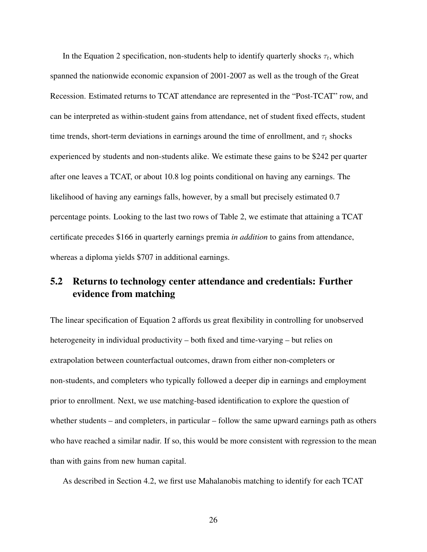<span id="page-25-0"></span>In the Equation [2](#page-14-0) specification, non-students help to identify quarterly shocks  $\tau_t$ , which spanned the nationwide economic expansion of 2001-2007 as well as the trough of the Great Recession. Estimated returns to TCAT attendance are represented in the "Post-TCAT" row, and can be interpreted as within-student gains from attendance, net of student fixed effects, student time trends, short-term deviations in earnings around the time of enrollment, and  $\tau_t$  shocks experienced by students and non-students alike. We estimate these gains to be \$242 per quarter after one leaves a TCAT, or about 10.8 log points conditional on having any earnings. The likelihood of having any earnings falls, however, by a small but precisely estimated 0.7 percentage points. Looking to the last two rows of Table [2,](#page-42-0) we estimate that attaining a TCAT certificate precedes \$166 in quarterly earnings premia *in addition* to gains from attendance, whereas a diploma yields \$707 in additional earnings.

### 5.2 Returns to technology center attendance and credentials: Further evidence from matching

The linear specification of Equation [2](#page-14-0) affords us great flexibility in controlling for unobserved heterogeneity in individual productivity – both fixed and time-varying – but relies on extrapolation between counterfactual outcomes, drawn from either non-completers or non-students, and completers who typically followed a deeper dip in earnings and employment prior to enrollment. Next, we use matching-based identification to explore the question of whether students – and completers, in particular – follow the same upward earnings path as others who have reached a similar nadir. If so, this would be more consistent with regression to the mean than with gains from new human capital.

As described in Section [4.2](#page-19-0), we first use Mahalanobis matching to identify for each TCAT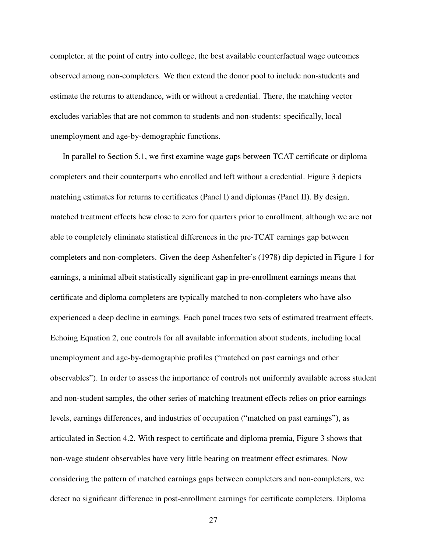completer, at the point of entry into college, the best available counterfactual wage outcomes observed among non-completers. We then extend the donor pool to include non-students and estimate the returns to attendance, with or without a credential. There, the matching vector excludes variables that are not common to students and non-students: specifically, local unemployment and age-by-demographic functions.

In parallel to Section [5.1,](#page-23-0) we first examine wage gaps between TCAT certificate or diploma completers and their counterparts who enrolled and left without a credential. Figure [3](#page-43-0) depicts matching estimates for returns to certificates (Panel I) and diplomas (Panel II). By design, matched treatment effects hew close to zero for quarters prior to enrollment, although we are not able to completely eliminate statistical differences in the pre-TCAT earnings gap between completers and non-completers. Given the deep Ashenfelter's [\(1978](#page-33-0)) dip depicted in Figure [1](#page-40-0) for earnings, a minimal albeit statistically significant gap in pre-enrollment earnings means that certificate and diploma completers are typically matched to non-completers who have also experienced a deep decline in earnings. Each panel traces two sets of estimated treatment effects. Echoing Equation [2,](#page-14-0) one controls for all available information about students, including local unemployment and age-by-demographic profiles ("matched on past earnings and other observables"). In order to assess the importance of controls not uniformly available across student and non-student samples, the other series of matching treatment effects relies on prior earnings levels, earnings differences, and industries of occupation ("matched on past earnings"), as articulated in Section [4.2.](#page-19-0) With respect to certificate and diploma premia, Figure [3](#page-43-0) shows that non-wage student observables have very little bearing on treatment effect estimates. Now considering the pattern of matched earnings gaps between completers and non-completers, we detect no significant difference in post-enrollment earnings for certificate completers. Diploma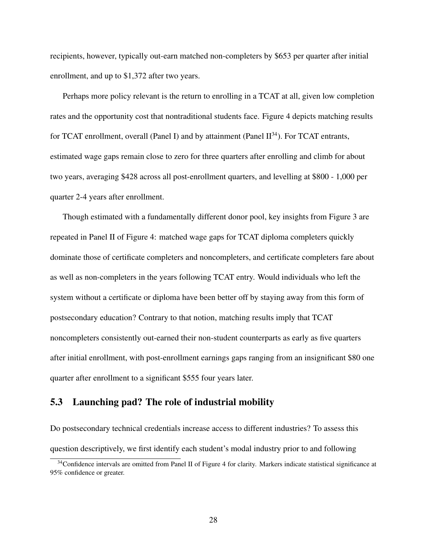recipients, however, typically out-earn matched non-completers by \$653 per quarter after initial enrollment, and up to \$1,372 after two years.

Perhaps more policy relevant is the return to enrolling in a TCAT at all, given low completion rates and the opportunity cost that nontraditional students face. Figure [4](#page-44-0) depicts matching results for TCAT enrollment, overall (Panel I) and by attainment (Panel  $II^{34}$ ). For TCAT entrants, estimated wage gaps remain close to zero for three quarters after enrolling and climb for about two years, averaging \$428 across all post-enrollment quarters, and levelling at \$800 - 1,000 per quarter 2-4 years after enrollment.

Though estimated with a fundamentally different donor pool, key insights from Figure [3](#page-43-0) are repeated in Panel II of Figure [4](#page-44-0): matched wage gaps for TCAT diploma completers quickly dominate those of certificate completers and noncompleters, and certificate completers fare about as well as non-completers in the years following TCAT entry. Would individuals who left the system without a certificate or diploma have been better off by staying away from this form of postsecondary education? Contrary to that notion, matching results imply that TCAT noncompleters consistently out-earned their non-student counterparts as early as five quarters after initial enrollment, with post-enrollment earnings gaps ranging from an insignificant \$80 one quarter after enrollment to a significant \$555 four years later.

### 5.3 Launching pad? The role of industrial mobility

Do postsecondary technical credentials increase access to different industries? To assess this question descriptively, we first identify each student's modal industry prior to and following

<sup>&</sup>lt;sup>3[4](#page-44-0)</sup>Confidence intervals are omitted from Panel II of Figure 4 for clarity. Markers indicate statistical significance at 95% confidence or greater.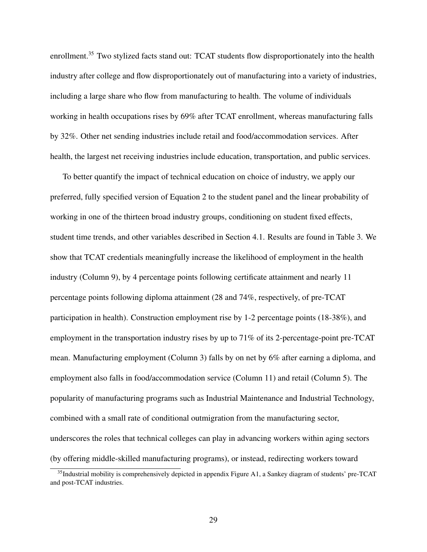enrollment.<sup>35</sup> Two stylized facts stand out: TCAT students flow disproportionately into the health industry after college and flow disproportionately out of manufacturing into a variety of industries, including a large share who flow from manufacturing to health. The volume of individuals working in health occupations rises by 69% after TCAT enrollment, whereas manufacturing falls by 32%. Other net sending industries include retail and food/accommodation services. After health, the largest net receiving industries include education, transportation, and public services.

To better quantify the impact of technical education on choice of industry, we apply our preferred, fully specified version of Equation [2](#page-14-0) to the student panel and the linear probability of working in one of the thirteen broad industry groups, conditioning on student fixed effects, student time trends, and other variables described in Section [4.1](#page-14-0). Results are found in Table [3.](#page-45-0) We show that TCAT credentials meaningfully increase the likelihood of employment in the health industry (Column 9), by 4 percentage points following certificate attainment and nearly 11 percentage points following diploma attainment (28 and 74%, respectively, of pre-TCAT participation in health). Construction employment rise by 1-2 percentage points (18-38%), and employment in the transportation industry rises by up to 71% of its 2-percentage-point pre-TCAT mean. Manufacturing employment (Column 3) falls by on net by 6% after earning a diploma, and employment also falls in food/accommodation service (Column 11) and retail (Column 5). The popularity of manufacturing programs such as Industrial Maintenance and Industrial Technology, combined with a small rate of conditional outmigration from the manufacturing sector, underscores the roles that technical colleges can play in advancing workers within aging sectors (by offering middle-skilled manufacturing programs), or instead, redirecting workers toward

<sup>&</sup>lt;sup>35</sup>Industrial mobility is comprehensively depicted in appendix Figure A1, a Sankey diagram of students' pre-TCAT and post-TCAT industries.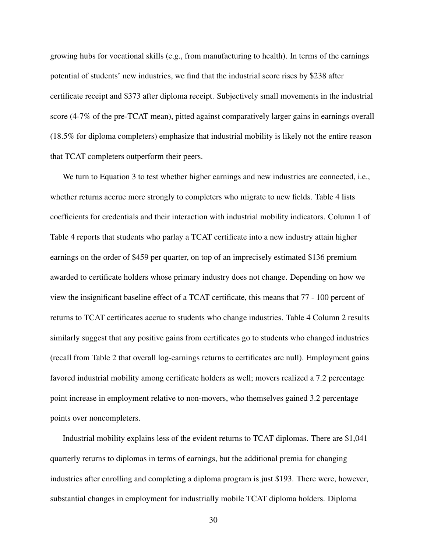growing hubs for vocational skills (e.g., from manufacturing to health). In terms of the earnings potential of students' new industries, we find that the industrial score rises by \$238 after certificate receipt and \$373 after diploma receipt. Subjectively small movements in the industrial score (4-7% of the pre-TCAT mean), pitted against comparatively larger gains in earnings overall (18.5% for diploma completers) emphasize that industrial mobility is likely not the entire reason that TCAT completers outperform their peers.

We turn to Equation [3](#page-19-0) to test whether higher earnings and new industries are connected, i.e., whether returns accrue more strongly to completers who migrate to new fields. Table [4](#page-46-0) lists coefficients for credentials and their interaction with industrial mobility indicators. Column 1 of Table [4](#page-46-0) reports that students who parlay a TCAT certificate into a new industry attain higher earnings on the order of \$459 per quarter, on top of an imprecisely estimated \$136 premium awarded to certificate holders whose primary industry does not change. Depending on how we view the insignificant baseline effect of a TCAT certificate, this means that 77 - 100 percent of returns to TCAT certificates accrue to students who change industries. Table [4](#page-46-0) Column 2 results similarly suggest that any positive gains from certificates go to students who changed industries (recall from Table [2](#page-42-0) that overall log-earnings returns to certificates are null). Employment gains favored industrial mobility among certificate holders as well; movers realized a 7.2 percentage point increase in employment relative to non-movers, who themselves gained 3.2 percentage points over noncompleters.

Industrial mobility explains less of the evident returns to TCAT diplomas. There are \$1,041 quarterly returns to diplomas in terms of earnings, but the additional premia for changing industries after enrolling and completing a diploma program is just \$193. There were, however, substantial changes in employment for industrially mobile TCAT diploma holders. Diploma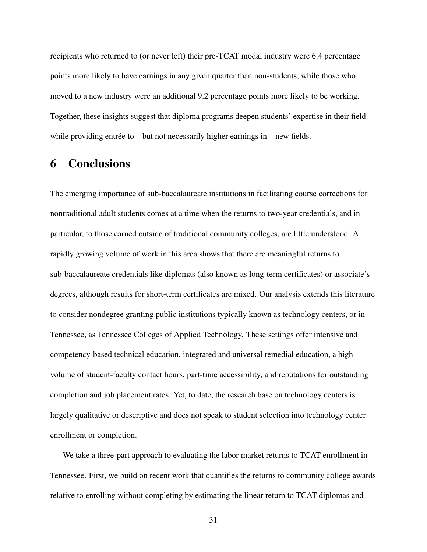recipients who returned to (or never left) their pre-TCAT modal industry were 6.4 percentage points more likely to have earnings in any given quarter than non-students, while those who moved to a new industry were an additional 9.2 percentage points more likely to be working. Together, these insights suggest that diploma programs deepen students' expertise in their field while providing entrée to  $-$  but not necessarily higher earnings in  $-$  new fields.

## 6 Conclusions

The emerging importance of sub-baccalaureate institutions in facilitating course corrections for nontraditional adult students comes at a time when the returns to two-year credentials, and in particular, to those earned outside of traditional community colleges, are little understood. A rapidly growing volume of work in this area shows that there are meaningful returns to sub-baccalaureate credentials like diplomas (also known as long-term certificates) or associate's degrees, although results for short-term certificates are mixed. Our analysis extends this literature to consider nondegree granting public institutions typically known as technology centers, or in Tennessee, as Tennessee Colleges of Applied Technology. These settings offer intensive and competency-based technical education, integrated and universal remedial education, a high volume of student-faculty contact hours, part-time accessibility, and reputations for outstanding completion and job placement rates. Yet, to date, the research base on technology centers is largely qualitative or descriptive and does not speak to student selection into technology center enrollment or completion.

We take a three-part approach to evaluating the labor market returns to TCAT enrollment in Tennessee. First, we build on recent work that quantifies the returns to community college awards relative to enrolling without completing by estimating the linear return to TCAT diplomas and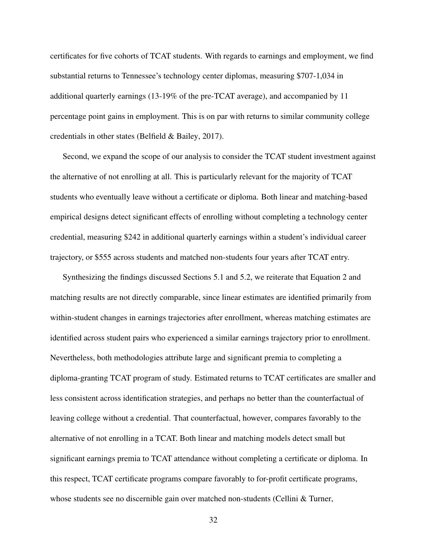certificates for five cohorts of TCAT students. With regards to earnings and employment, we find substantial returns to Tennessee's technology center diplomas, measuring \$707-1,034 in additional quarterly earnings (13-19% of the pre-TCAT average), and accompanied by 11 percentage point gains in employment. This is on par with returns to similar community college credentials in other states [\(Belfield & Bailey](#page-33-0), [2017](#page-33-0)).

Second, we expand the scope of our analysis to consider the TCAT student investment against the alternative of not enrolling at all. This is particularly relevant for the majority of TCAT students who eventually leave without a certificate or diploma. Both linear and matching-based empirical designs detect significant effects of enrolling without completing a technology center credential, measuring \$242 in additional quarterly earnings within a student's individual career trajectory, or \$555 across students and matched non-students four years after TCAT entry.

Synthesizing the findings discussed Sections [5.1](#page-23-0) and [5.2](#page-25-0), we reiterate that Equation [2](#page-14-0) and matching results are not directly comparable, since linear estimates are identified primarily from within-student changes in earnings trajectories after enrollment, whereas matching estimates are identified across student pairs who experienced a similar earnings trajectory prior to enrollment. Nevertheless, both methodologies attribute large and significant premia to completing a diploma-granting TCAT program of study. Estimated returns to TCAT certificates are smaller and less consistent across identification strategies, and perhaps no better than the counterfactual of leaving college without a credential. That counterfactual, however, compares favorably to the alternative of not enrolling in a TCAT. Both linear and matching models detect small but significant earnings premia to TCAT attendance without completing a certificate or diploma. In this respect, TCAT certificate programs compare favorably to for-profit certificate programs, whose students see no discernible gain over matched non-students [\(Cellini & Turner](#page-34-0),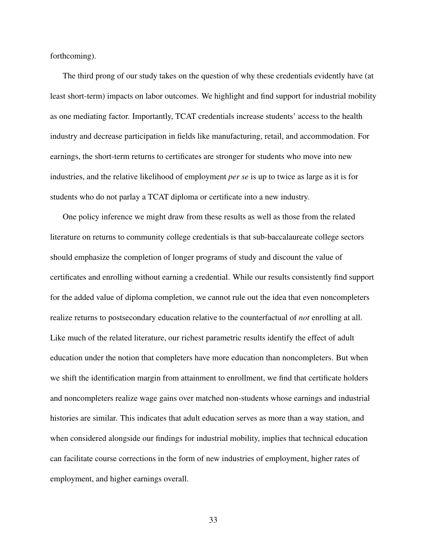[forthcoming](#page-34-0)).

The third prong of our study takes on the question of why these credentials evidently have (at least short-term) impacts on labor outcomes. We highlight and find support for industrial mobility as one mediating factor. Importantly, TCAT credentials increase students' access to the health industry and decrease participation in fields like manufacturing, retail, and accommodation. For earnings, the short-term returns to certificates are stronger for students who move into new industries, and the relative likelihood of employment *per se* is up to twice as large as it is for students who do not parlay a TCAT diploma or certificate into a new industry.

One policy inference we might draw from these results as well as those from the related literature on returns to community college credentials is that sub-baccalaureate college sectors should emphasize the completion of longer programs of study and discount the value of certificates and enrolling without earning a credential. While our results consistently find support for the added value of diploma completion, we cannot rule out the idea that even noncompleters realize returns to postsecondary education relative to the counterfactual of *not* enrolling at all. Like much of the related literature, our richest parametric results identify the effect of adult education under the notion that completers have more education than noncompleters. But when we shift the identification margin from attainment to enrollment, we find that certificate holders and noncompleters realize wage gains over matched non-students whose earnings and industrial histories are similar. This indicates that adult education serves as more than a way station, and when considered alongside our findings for industrial mobility, implies that technical education can facilitate course corrections in the form of new industries of employment, higher rates of employment, and higher earnings overall.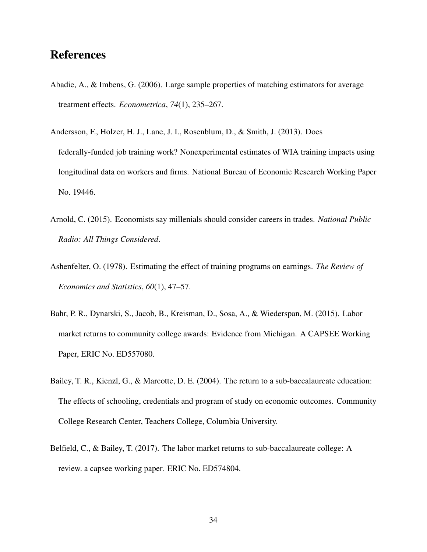# <span id="page-33-0"></span>References

- Abadie, A., & Imbens, G. (2006). Large sample properties of matching estimators for average treatment effects. *Econometrica*, *74*(1), 235–267.
- Andersson, F., Holzer, H. J., Lane, J. I., Rosenblum, D., & Smith, J. (2013). Does federally-funded job training work? Nonexperimental estimates of WIA training impacts using longitudinal data on workers and firms. National Bureau of Economic Research Working Paper No. 19446.
- Arnold, C. (2015). Economists say millenials should consider careers in trades. *National Public Radio: All Things Considered*.
- Ashenfelter, O. (1978). Estimating the effect of training programs on earnings. *The Review of Economics and Statistics*, *60*(1), 47–57.
- Bahr, P. R., Dynarski, S., Jacob, B., Kreisman, D., Sosa, A., & Wiederspan, M. (2015). Labor market returns to community college awards: Evidence from Michigan. A CAPSEE Working Paper, ERIC No. ED557080.
- Bailey, T. R., Kienzl, G., & Marcotte, D. E. (2004). The return to a sub-baccalaureate education: The effects of schooling, credentials and program of study on economic outcomes. Community College Research Center, Teachers College, Columbia University.
- Belfield, C., & Bailey, T. (2017). The labor market returns to sub-baccalaureate college: A review. a capsee working paper. ERIC No. ED574804.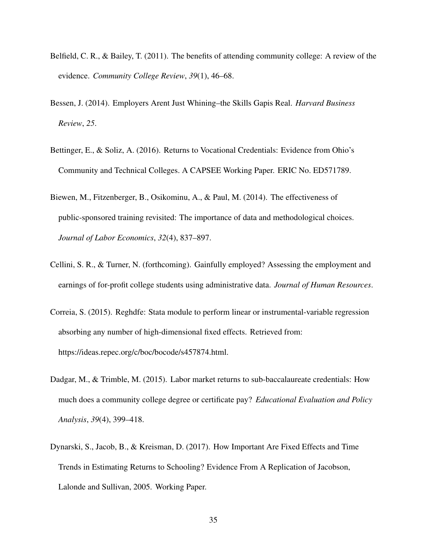- <span id="page-34-0"></span>Belfield, C. R., & Bailey, T. (2011). The benefits of attending community college: A review of the evidence. *Community College Review*, *39*(1), 46–68.
- Bessen, J. (2014). Employers Arent Just Whining–the Skills Gapis Real. *Harvard Business Review*, *25*.
- Bettinger, E., & Soliz, A. (2016). Returns to Vocational Credentials: Evidence from Ohio's Community and Technical Colleges. A CAPSEE Working Paper. ERIC No. ED571789.
- Biewen, M., Fitzenberger, B., Osikominu, A., & Paul, M. (2014). The effectiveness of public-sponsored training revisited: The importance of data and methodological choices. *Journal of Labor Economics*, *32*(4), 837–897.
- Cellini, S. R., & Turner, N. (forthcoming). Gainfully employed? Assessing the employment and earnings of for-profit college students using administrative data. *Journal of Human Resources*.
- Correia, S. (2015). Reghdfe: Stata module to perform linear or instrumental-variable regression absorbing any number of high-dimensional fixed effects. Retrieved from: https://ideas.repec.org/c/boc/bocode/s457874.html.
- Dadgar, M., & Trimble, M. (2015). Labor market returns to sub-baccalaureate credentials: How much does a community college degree or certificate pay? *Educational Evaluation and Policy Analysis*, *39*(4), 399–418.
- Dynarski, S., Jacob, B., & Kreisman, D. (2017). How Important Are Fixed Effects and Time Trends in Estimating Returns to Schooling? Evidence From A Replication of Jacobson, Lalonde and Sullivan, 2005. Working Paper.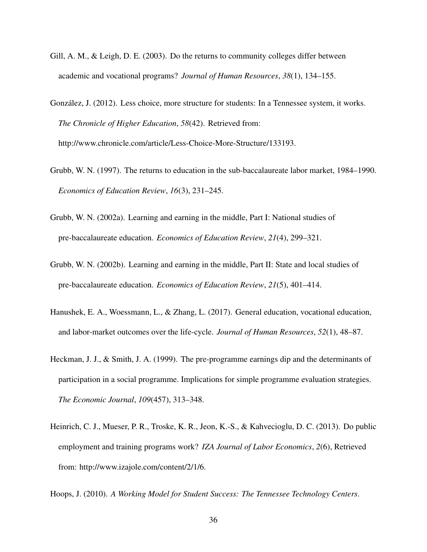- <span id="page-35-0"></span>Gill, A. M., & Leigh, D. E. (2003). Do the returns to community colleges differ between academic and vocational programs? *Journal of Human Resources*, *38*(1), 134–155.
- González, J. (2012). Less choice, more structure for students: In a Tennessee system, it works. *The Chronicle of Higher Education*, *58*(42). Retrieved from: http://www.chronicle.com/article/Less-Choice-More-Structure/133193.
- Grubb, W. N. (1997). The returns to education in the sub-baccalaureate labor market, 1984–1990. *Economics of Education Review*, *16*(3), 231–245.
- Grubb, W. N. (2002a). Learning and earning in the middle, Part I: National studies of pre-baccalaureate education. *Economics of Education Review*, *21*(4), 299–321.
- Grubb, W. N. (2002b). Learning and earning in the middle, Part II: State and local studies of pre-baccalaureate education. *Economics of Education Review*, *21*(5), 401–414.
- Hanushek, E. A., Woessmann, L., & Zhang, L. (2017). General education, vocational education, and labor-market outcomes over the life-cycle. *Journal of Human Resources*, *52*(1), 48–87.
- Heckman, J. J., & Smith, J. A. (1999). The pre-programme earnings dip and the determinants of participation in a social programme. Implications for simple programme evaluation strategies. *The Economic Journal*, *109*(457), 313–348.
- Heinrich, C. J., Mueser, P. R., Troske, K. R., Jeon, K.-S., & Kahvecioglu, D. C. (2013). Do public employment and training programs work? *IZA Journal of Labor Economics*, *2*(6), Retrieved from: http://www.izajole.com/content/2/1/6.

Hoops, J. (2010). *A Working Model for Student Success: The Tennessee Technology Centers*.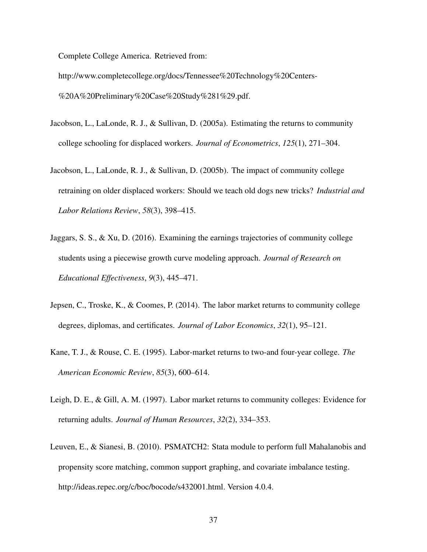<span id="page-36-0"></span>Complete College America. Retrieved from:

[http://www.completecollege.org/docs/Tennessee%20Technology%20Centers-](http://www.completecollege.org/docs/Tennessee%20Technology%20Centers-%20A%20Preliminary%20Case%20Study%281%29.pdf) [%20A%20Preliminary%20Case%20Study%281%29.pdf](http://www.completecollege.org/docs/Tennessee%20Technology%20Centers-%20A%20Preliminary%20Case%20Study%281%29.pdf).

- Jacobson, L., LaLonde, R. J., & Sullivan, D. (2005a). Estimating the returns to community college schooling for displaced workers. *Journal of Econometrics*, *125*(1), 271–304.
- Jacobson, L., LaLonde, R. J., & Sullivan, D. (2005b). The impact of community college retraining on older displaced workers: Should we teach old dogs new tricks? *Industrial and Labor Relations Review*, *58*(3), 398–415.
- Jaggars, S. S., & Xu, D. (2016). Examining the earnings trajectories of community college students using a piecewise growth curve modeling approach. *Journal of Research on Educational Effectiveness*, *9*(3), 445–471.
- Jepsen, C., Troske, K., & Coomes, P. (2014). The labor market returns to community college degrees, diplomas, and certificates. *Journal of Labor Economics*, *32*(1), 95–121.
- Kane, T. J., & Rouse, C. E. (1995). Labor-market returns to two-and four-year college. *The American Economic Review*, *85*(3), 600–614.
- Leigh, D. E., & Gill, A. M. (1997). Labor market returns to community colleges: Evidence for returning adults. *Journal of Human Resources*, *32*(2), 334–353.
- Leuven, E., & Sianesi, B. (2010). PSMATCH2: Stata module to perform full Mahalanobis and propensity score matching, common support graphing, and covariate imbalance testing. http://ideas.repec.org/c/boc/bocode/s432001.html. Version 4.0.4.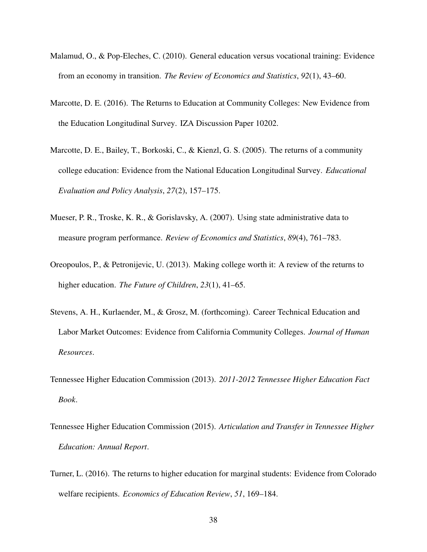- <span id="page-37-0"></span>Malamud, O., & Pop-Eleches, C. (2010). General education versus vocational training: Evidence from an economy in transition. *The Review of Economics and Statistics*, *92*(1), 43–60.
- Marcotte, D. E. (2016). The Returns to Education at Community Colleges: New Evidence from the Education Longitudinal Survey. IZA Discussion Paper 10202.
- Marcotte, D. E., Bailey, T., Borkoski, C., & Kienzl, G. S. (2005). The returns of a community college education: Evidence from the National Education Longitudinal Survey. *Educational Evaluation and Policy Analysis*, *27*(2), 157–175.
- Mueser, P. R., Troske, K. R., & Gorislavsky, A. (2007). Using state administrative data to measure program performance. *Review of Economics and Statistics*, *89*(4), 761–783.
- Oreopoulos, P., & Petronijevic, U. (2013). Making college worth it: A review of the returns to higher education. *The Future of Children*, *23*(1), 41–65.
- Stevens, A. H., Kurlaender, M., & Grosz, M. (forthcoming). Career Technical Education and Labor Market Outcomes: Evidence from California Community Colleges. *Journal of Human Resources*.
- Tennessee Higher Education Commission (2013). *2011-2012 Tennessee Higher Education Fact Book*.
- Tennessee Higher Education Commission (2015). *Articulation and Transfer in Tennessee Higher Education: Annual Report*.
- Turner, L. (2016). The returns to higher education for marginal students: Evidence from Colorado welfare recipients. *Economics of Education Review*, *51*, 169–184.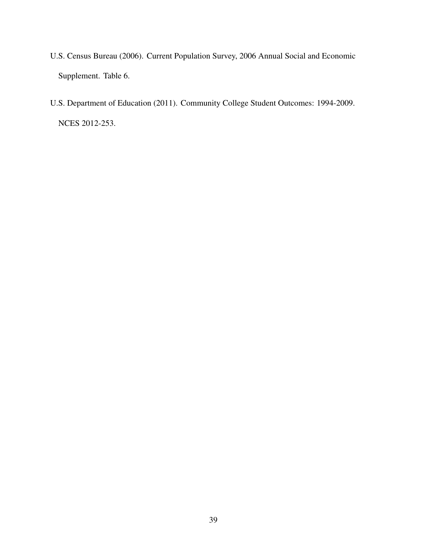- <span id="page-38-0"></span>U.S. Census Bureau (2006). Current Population Survey, 2006 Annual Social and Economic Supplement. Table 6.
- U.S. Department of Education (2011). Community College Student Outcomes: 1994-2009. NCES 2012-253.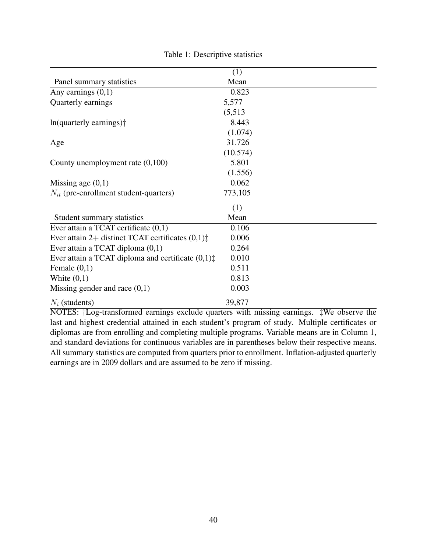<span id="page-39-0"></span>

|                                                                                     | (1)      |  |
|-------------------------------------------------------------------------------------|----------|--|
| Panel summary statistics                                                            | Mean     |  |
| Any earnings $(0,1)$                                                                | 0.823    |  |
| Quarterly earnings                                                                  | 5,577    |  |
|                                                                                     | (5,513)  |  |
| $ln$ (quarterly earnings) $\dagger$                                                 | 8.443    |  |
|                                                                                     | (1.074)  |  |
| Age                                                                                 | 31.726   |  |
|                                                                                     | (10.574) |  |
| County unemployment rate $(0,100)$                                                  | 5.801    |  |
|                                                                                     | (1.556)  |  |
| Missing age $(0,1)$                                                                 | 0.062    |  |
| $N_{it}$ (pre-enrollment student-quarters)                                          | 773,105  |  |
|                                                                                     | (1)      |  |
| Student summary statistics                                                          | Mean     |  |
| Ever attain a TCAT certificate $(0,1)$                                              | 0.106    |  |
| Ever attain 2+ distinct TCAT certificates $(0,1)$ <sup><math>\ddagger</math></sup>  | 0.006    |  |
| Ever attain a TCAT diploma $(0,1)$                                                  | 0.264    |  |
| Ever attain a TCAT diploma and certificate $(0,1)$ <sup><math>\ddagger</math></sup> | 0.010    |  |
| Female $(0,1)$                                                                      | 0.511    |  |
| White $(0,1)$                                                                       | 0.813    |  |
| Missing gender and race $(0,1)$                                                     | 0.003    |  |
| $N_i$ (students)                                                                    | 39,877   |  |

Table 1: Descriptive statistics

NOTES: *†*Log-transformed earnings exclude quarters with missing earnings. *‡*We observe the last and highest credential attained in each student's program of study. Multiple certificates or diplomas are from enrolling and completing multiple programs. Variable means are in Column 1, and standard deviations for continuous variables are in parentheses below their respective means. All summary statistics are computed from quarters prior to enrollment. Inflation-adjusted quarterly earnings are in 2009 dollars and are assumed to be zero if missing.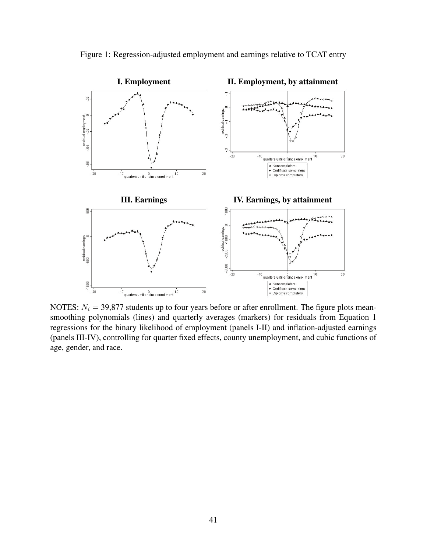

<span id="page-40-0"></span>Figure 1: Regression-adjusted employment and earnings relative to TCAT entry

NOTES:  $N_i = 39,877$  students up to four years before or after enrollment. The figure plots meansmoothing polynomials (lines) and quarterly averages (markers) for residuals from Equation [1](#page-13-0) regressions for the binary likelihood of employment (panels I-II) and inflation-adjusted earnings (panels III-IV), controlling for quarter fixed effects, county unemployment, and cubic functions of age, gender, and race.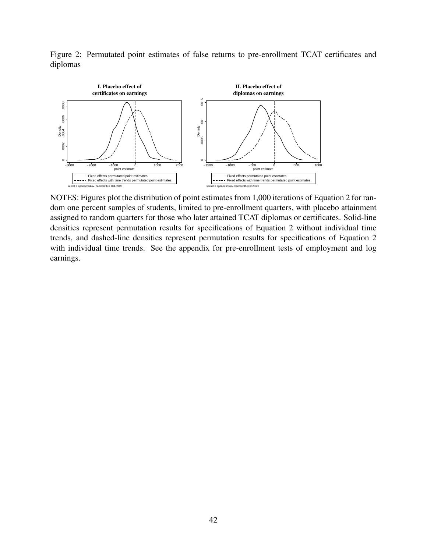<span id="page-41-0"></span>Figure 2: Permutated point estimates of false returns to pre-enrollment TCAT certificates and diplomas



NOTES: Figures plot the distribution of point estimates from 1,000 iterations of Equation [2](#page-14-0) for random one percent samples of students, limited to pre-enrollment quarters, with placebo attainment assigned to random quarters for those who later attained TCAT diplomas or certificates. Solid-line densities represent permutation results for specifications of Equation [2](#page-14-0) without individual time trends, and dashed-line densities represent permutation results for specifications of Equation [2](#page-14-0) with individual time trends. See the appendix for pre-enrollment tests of employment and log earnings.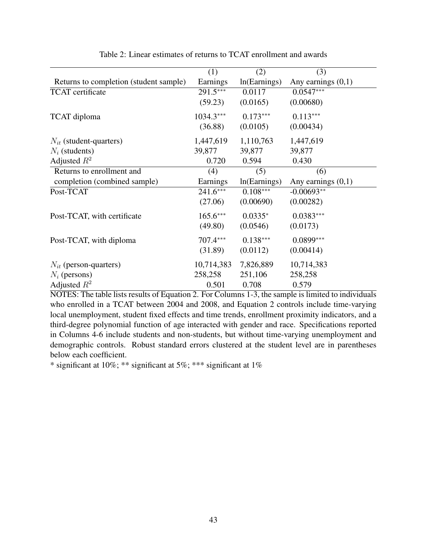<span id="page-42-0"></span>

|                                        | (1)         | (2)          | (3)                  |
|----------------------------------------|-------------|--------------|----------------------|
| Returns to completion (student sample) | Earnings    | ln(Earnings) | Any earnings $(0,1)$ |
| <b>TCAT</b> certificate                | 291.5***    | 0.0117       | $0.0547***$          |
|                                        | (59.23)     | (0.0165)     | (0.00680)            |
| TCAT diploma                           | $1034.3***$ | $0.173***$   | $0.113***$           |
|                                        | (36.88)     | (0.0105)     | (0.00434)            |
| $N_{it}$ (student-quarters)            | 1,447,619   | 1,110,763    | 1,447,619            |
| $N_i$ (students)                       | 39,877      | 39,877       | 39,877               |
| Adjusted $R^2$                         | 0.720       | 0.594        | 0.430                |
| Returns to enrollment and              | (4)         | (5)          | (6)                  |
| completion (combined sample)           | Earnings    | ln(Earnings) | Any earnings $(0,1)$ |
| Post-TCAT                              | 241.6***    | $0.108***$   | $-0.00693**$         |
|                                        | (27.06)     | (0.00690)    | (0.00282)            |
| Post-TCAT, with certificate            | $165.6***$  | $0.0335*$    | $0.0383***$          |
|                                        | (49.80)     | (0.0546)     | (0.0173)             |
| Post-TCAT, with diploma                | $707.4***$  | $0.138***$   | $0.0899***$          |
|                                        | (31.89)     | (0.0112)     | (0.00414)            |
| $N_{it}$ (person-quarters)             | 10,714,383  | 7,826,889    | 10,714,383           |
| $N_i$ (persons)                        | 258,258     | 251,106      | 258,258              |
| Adjusted $R^2$                         | 0.501       | 0.708        | 0.579                |

Table 2: Linear estimates of returns to TCAT enrollment and awards

NOTES: The table lists results of Equation [2](#page-14-0). For Columns 1-3, the sample is limited to individuals who enrolled in a TCAT between 2004 and 2008, and Equation [2](#page-14-0) controls include time-varying local unemployment, student fixed effects and time trends, enrollment proximity indicators, and a third-degree polynomial function of age interacted with gender and race. Specifications reported in Columns 4-6 include students and non-students, but without time-varying unemployment and demographic controls. Robust standard errors clustered at the student level are in parentheses below each coefficient.

\* significant at 10%; \*\* significant at 5%; \*\*\* significant at 1%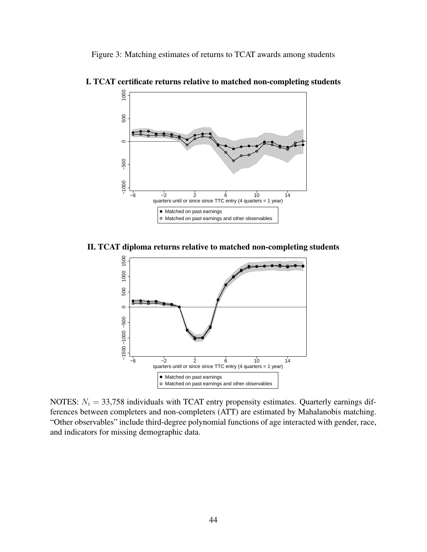<span id="page-43-0"></span>Figure 3: Matching estimates of returns to TCAT awards among students



I. TCAT certificate returns relative to matched non-completing students

II. TCAT diploma returns relative to matched non-completing students



NOTES:  $N_i = 33,758$  individuals with TCAT entry propensity estimates. Quarterly earnings differences between completers and non-completers (ATT) are estimated by Mahalanobis matching. "Other observables" include third-degree polynomial functions of age interacted with gender, race, and indicators for missing demographic data.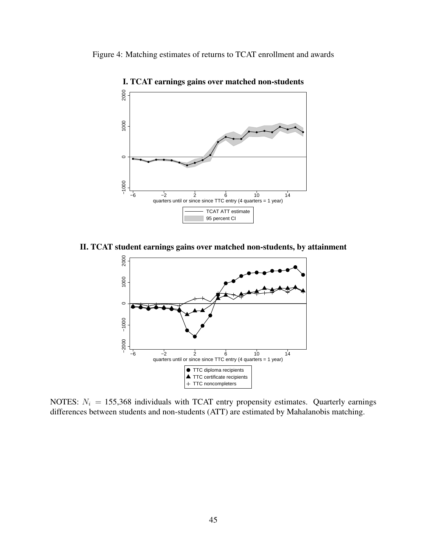<span id="page-44-0"></span>Figure 4: Matching estimates of returns to TCAT enrollment and awards



I. TCAT earnings gains over matched non-students

II. TCAT student earnings gains over matched non-students, by attainment



NOTES:  $N_i = 155,368$  individuals with TCAT entry propensity estimates. Quarterly earnings differences between students and non-students (ATT) are estimated by Mahalanobis matching.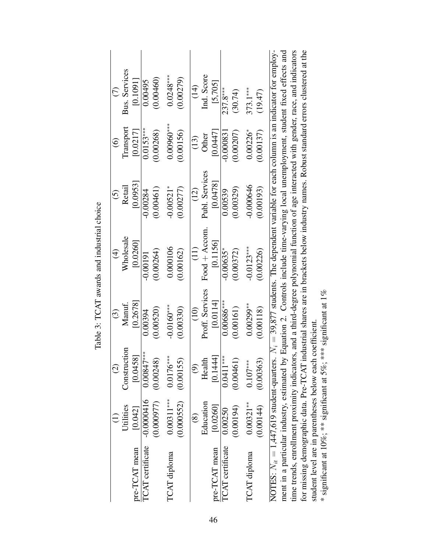<span id="page-45-0"></span>

|                  | $\hat{\Box}$ | $\widehat{\mathbb{C}}$ | $\odot$         | $\widehat{\mathcal{F}}$ | $\tilde{c}$    | $\widehat{\odot}$ | $\widehat{\subset}$                                                                                                                                                                                                                                                              |
|------------------|--------------|------------------------|-----------------|-------------------------|----------------|-------------------|----------------------------------------------------------------------------------------------------------------------------------------------------------------------------------------------------------------------------------------------------------------------------------|
|                  | Utilities    | Construction           | Manuf.          | Wholesale               | Retail         | Transport         | <b>Bus.</b> Services                                                                                                                                                                                                                                                             |
| pre-TCAT mean    | [0.042]      | [0.0458]               | [0.2678]        | [0.0260]                | [0.0953]       | [0.0217]          | [0.1091]                                                                                                                                                                                                                                                                         |
| TCAT certificate | $-0.0000416$ | $0.00847***$           | 0.00394         | $-0.00191$              | $-0.00284$     | $0.0153***$       | 0.00495                                                                                                                                                                                                                                                                          |
|                  | (0.000977)   | (0.00248)              | (0.00520)       | (0.00264)               | (0.00461)      | (0.00268)         | (0.00460)                                                                                                                                                                                                                                                                        |
| TCAT diploma     | $0.00311***$ | $0.0176***$            | $-0.0160***$    | 0.000106                | $-0.00521*$    | $0.00960***$      | $0.0248***$                                                                                                                                                                                                                                                                      |
|                  | (0.000552)   | (0.00155)              | (0.00330)       | (0.00162)               | (0.00277)      | (0.00156)         | (0.00279)                                                                                                                                                                                                                                                                        |
|                  | $\circledS$  | $\widehat{e}$          | (10)            | (11)                    | (12)           | (13)              | $\overline{14}$                                                                                                                                                                                                                                                                  |
|                  | Education    | Health                 | Proff. Services | Food $+$ Accom.         | Publ. Services | Other             | Ind. Score                                                                                                                                                                                                                                                                       |
| pre-TCAT mean    | [0.0260]     | [0.1441]               | [0.0114]        | [0.1156]                | 18170.01       | [0.0447]          | [5,705]                                                                                                                                                                                                                                                                          |
| TCAT certificate | 0.00250      | $0.0411***$            | $0.00686***$    | $-0.00635*$             | 0.00539        | $-0.000831$       | 237.8***                                                                                                                                                                                                                                                                         |
|                  | (0.00194)    | (0.00461)              | (0.00161)       | (0.00372)               | (0.00329)      | (0.00207)         | (30.74)                                                                                                                                                                                                                                                                          |
| TCAT diploma     | $0.00321***$ | $0.107***$             | $0.00299***$    | $-0.0123***$            | $-0.000646$    | $0.00226*$        | 373.1***                                                                                                                                                                                                                                                                         |
|                  | (0.00144)    | (0.00363)              | (0.00118)       | (0.00226)               | (0.00193)      | (0.00137)         | (19.47)                                                                                                                                                                                                                                                                          |
|                  |              |                        |                 |                         |                |                   | ment in a particular industry, estimated by Equation 2. Controls include time-varying local unemployment, student fixed effects and<br>NOTES: $N_{it} = 1,447,619$ student-quarters. $N_i = 39,877$ students. The dependent variable for each column is an indicator for employ- |
|                  |              |                        |                 |                         |                |                   | time trends, enrollment proximity indicators, and a third-degree polynomial function of age interacted with gender, race, and indicators                                                                                                                                         |

Table 3: TCAT awards and industrial choice Table 3: TCAT awards and industrial choice  $\mathbf{L}$  $\overline{\mathbf{C}}$  $\alpha$ time uenus, emoninem proximity muteators, ant a unte-tegree porynomial runction or age mieracteu with genter, race, and muteators<br>for missing demographic data. Pre-TCAT industrial shares are in brackets below industry name NOTES:  $N_{it} = 1,447,619$  student-quarters.  $N_i = 39,877$  students. The dependent variable for each column is an indicator for employment in a particular industry, estimated by Equation [2](#page-14-0). Controls include time-varying local unemployment, student fixed effects and time trends, enrollment proximity indicators, and a third-degree polynomial function of age interacted with gender, race, and indicators for missing demographic data. Pre-TCAT industrial shares are in brackets below industry names. Robust standard errors clustered at the student level are in parentheses below each coefficient.<br>\* significant at 10%; \*\* significant at 5%; \*\*\* significant at 1% student level are in parentheses below each coefficient.

\* significant at  $10\%$ ; \*\* significant at 5%; \*\*\* significant at 1%